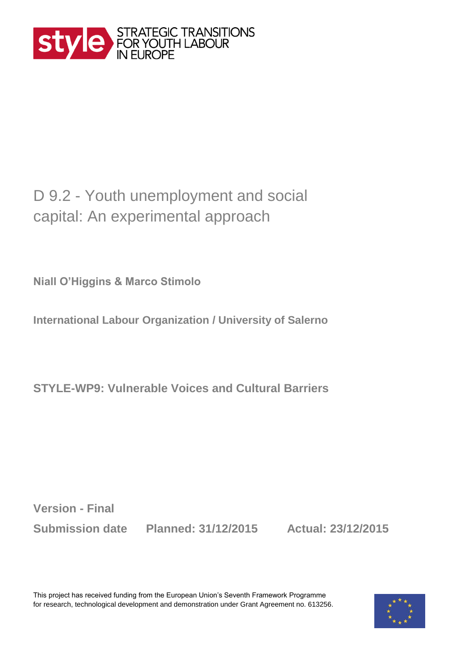

## D 9.2 - Youth unemployment and social capital: An experimental approach

**Niall O'Higgins & Marco Stimolo**

**International Labour Organization / University of Salerno**

**STYLE-WP9: [Vulnerable Voices and Cultural Barriers](http://www.style-research.eu/project/work-packages/wp9-attitudes-aspirations/)** 

**Version - Final**

**Submission date Planned: 31/12/2015 Actual: 23/12/2015**

This project has received funding from the European Union's Seventh Framework Programme for research, technological development and demonstration under Grant Agreement no. 613256.

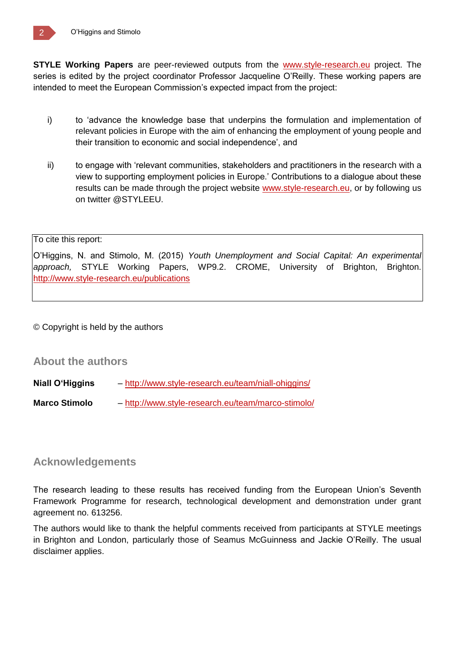**STYLE Working Papers** are peer-reviewed outputs from the [www.style-research.eu](http://www.style-research.eu/) project. The series is edited by the project coordinator Professor Jacqueline O'Reilly. These working papers are intended to meet the European Commission's expected impact from the project:

- i) to 'advance the knowledge base that underpins the formulation and implementation of relevant policies in Europe with the aim of enhancing the employment of young people and their transition to economic and social independence', and
- ii) to engage with 'relevant communities, stakeholders and practitioners in the research with a view to supporting employment policies in Europe.' Contributions to a dialogue about these results can be made through the project website [www.style-research.eu,](http://www.style-research.eu/) or by following us on twitter @STYLEEU.

#### To cite this report:

O'Higgins, N. and Stimolo, M. (2015) *Youth Unemployment and Social Capital: An experimental approach,* STYLE Working Papers, WP9.2. CROME, University of Brighton, Brighton. <http://www.style-research.eu/publications>

© Copyright is held by the authors

#### **About the authors**

**Niall O'Higgins** – <http://www.style-research.eu/team/niall-ohiggins/>

**Marco Stimolo** – http://www.style-research.eu/team/marco-stimolo/

### **Acknowledgements**

The research leading to these results has received funding from the European Union's Seventh Framework Programme for research, technological development and demonstration under grant agreement no. 613256.

The authors would like to thank the helpful comments received from participants at STYLE meetings in Brighton and London, particularly those of Seamus McGuinness and Jackie O'Reilly. The usual disclaimer applies.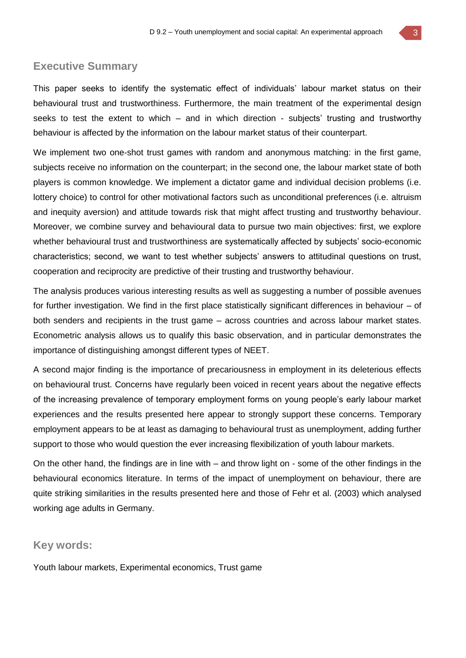#### **Executive Summary**

This paper seeks to identify the systematic effect of individuals' labour market status on their behavioural trust and trustworthiness. Furthermore, the main treatment of the experimental design seeks to test the extent to which – and in which direction - subjects' trusting and trustworthy behaviour is affected by the information on the labour market status of their counterpart.

We implement two one-shot trust games with random and anonymous matching: in the first game, subjects receive no information on the counterpart; in the second one, the labour market state of both players is common knowledge. We implement a dictator game and individual decision problems (i.e. lottery choice) to control for other motivational factors such as unconditional preferences (i.e. altruism and inequity aversion) and attitude towards risk that might affect trusting and trustworthy behaviour. Moreover, we combine survey and behavioural data to pursue two main objectives: first, we explore whether behavioural trust and trustworthiness are systematically affected by subjects' socio-economic characteristics; second, we want to test whether subjects' answers to attitudinal questions on trust, cooperation and reciprocity are predictive of their trusting and trustworthy behaviour.

The analysis produces various interesting results as well as suggesting a number of possible avenues for further investigation. We find in the first place statistically significant differences in behaviour – of both senders and recipients in the trust game – across countries and across labour market states. Econometric analysis allows us to qualify this basic observation, and in particular demonstrates the importance of distinguishing amongst different types of NEET.

A second major finding is the importance of precariousness in employment in its deleterious effects on behavioural trust. Concerns have regularly been voiced in recent years about the negative effects of the increasing prevalence of temporary employment forms on young people's early labour market experiences and the results presented here appear to strongly support these concerns. Temporary employment appears to be at least as damaging to behavioural trust as unemployment, adding further support to those who would question the ever increasing flexibilization of youth labour markets.

On the other hand, the findings are in line with – and throw light on - some of the other findings in the behavioural economics literature. In terms of the impact of unemployment on behaviour, there are quite striking similarities in the results presented here and those of Fehr et al. (2003) which analysed working age adults in Germany.

#### **Key words:**

Youth labour markets, Experimental economics, Trust game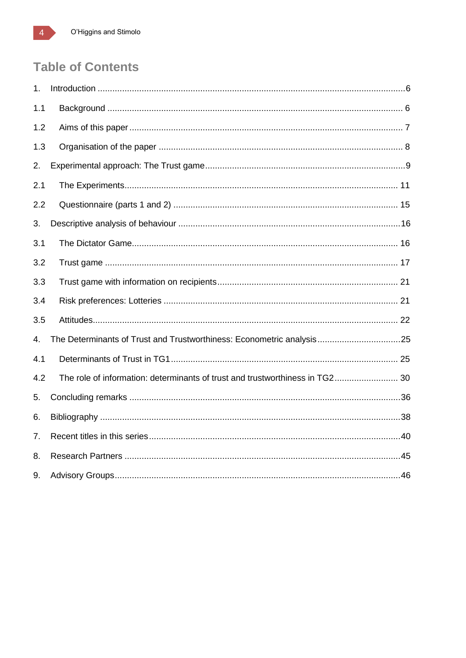## **Table of Contents**

| 1.  |                                                                              |  |
|-----|------------------------------------------------------------------------------|--|
| 1.1 |                                                                              |  |
| 1.2 |                                                                              |  |
| 1.3 |                                                                              |  |
| 2.  |                                                                              |  |
| 2.1 |                                                                              |  |
| 2.2 |                                                                              |  |
| 3.  |                                                                              |  |
| 3.1 |                                                                              |  |
| 3.2 |                                                                              |  |
| 3.3 |                                                                              |  |
| 3.4 |                                                                              |  |
| 3.5 |                                                                              |  |
| 4.  | The Determinants of Trust and Trustworthiness: Econometric analysis25        |  |
| 4.1 |                                                                              |  |
| 4.2 | The role of information: determinants of trust and trustworthiness in TG2 30 |  |
| 5.  |                                                                              |  |
| 6.  |                                                                              |  |
| 7.  |                                                                              |  |
| 8.  |                                                                              |  |
| 9.  |                                                                              |  |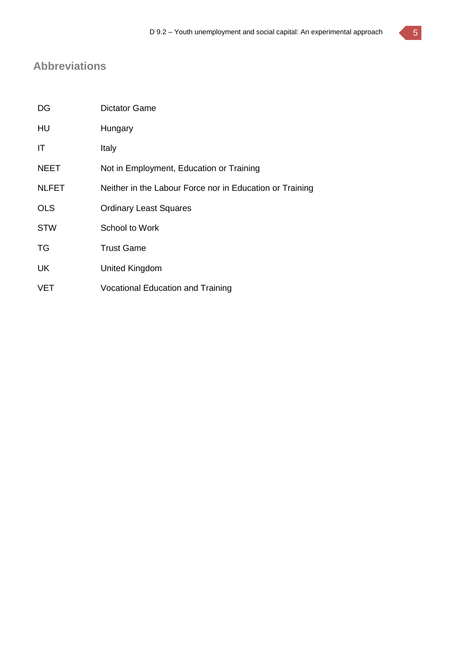## **Abbreviations**

| DG           | <b>Dictator Game</b>                                     |
|--------------|----------------------------------------------------------|
| HU           | Hungary                                                  |
| ΙT           | Italy                                                    |
| <b>NEET</b>  | Not in Employment, Education or Training                 |
| <b>NLFET</b> | Neither in the Labour Force nor in Education or Training |
| <b>OLS</b>   | <b>Ordinary Least Squares</b>                            |
| <b>STW</b>   | <b>School to Work</b>                                    |
| TG           | <b>Trust Game</b>                                        |
| UK           | United Kingdom                                           |
| <b>VET</b>   | <b>Vocational Education and Training</b>                 |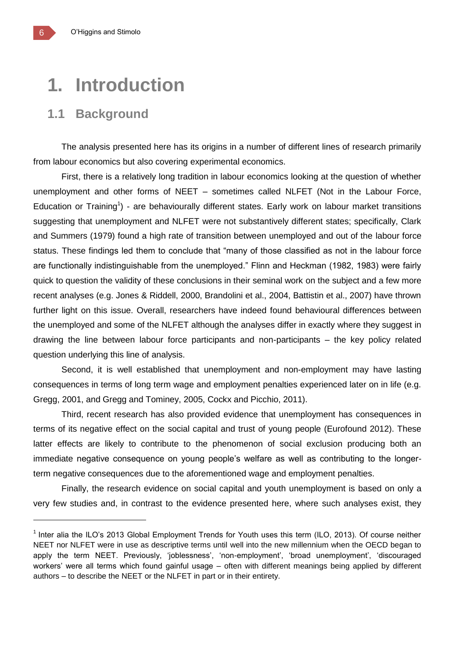## **1. Introduction**

## **1.1 Background**

The analysis presented here has its origins in a number of different lines of research primarily from labour economics but also covering experimental economics.

First, there is a relatively long tradition in labour economics looking at the question of whether unemployment and other forms of NEET – sometimes called NLFET (Not in the Labour Force, Education or Training<sup>1</sup>) - are behaviourally different states. Early work on labour market transitions suggesting that unemployment and NLFET were not substantively different states; specifically, Clark and Summers (1979) found a high rate of transition between unemployed and out of the labour force status. These findings led them to conclude that "many of those classified as not in the labour force are functionally indistinguishable from the unemployed." Flinn and Heckman (1982, 1983) were fairly quick to question the validity of these conclusions in their seminal work on the subject and a few more recent analyses (e.g. Jones & Riddell, 2000, Brandolini et al., 2004, Battistin et al., 2007) have thrown further light on this issue. Overall, researchers have indeed found behavioural differences between the unemployed and some of the NLFET although the analyses differ in exactly where they suggest in drawing the line between labour force participants and non-participants – the key policy related question underlying this line of analysis.

Second, it is well established that unemployment and non-employment may have lasting consequences in terms of long term wage and employment penalties experienced later on in life (e.g. Gregg, 2001, and Gregg and Tominey, 2005, Cockx and Picchio, 2011).

Third, recent research has also provided evidence that unemployment has consequences in terms of its negative effect on the social capital and trust of young people (Eurofound 2012). These latter effects are likely to contribute to the phenomenon of social exclusion producing both an immediate negative consequence on young people's welfare as well as contributing to the longerterm negative consequences due to the aforementioned wage and employment penalties.

Finally, the research evidence on social capital and youth unemployment is based on only a very few studies and, in contrast to the evidence presented here, where such analyses exist, they

 $\overline{a}$ 

<sup>&</sup>lt;sup>1</sup> Inter alia the ILO's 2013 Global Employment Trends for Youth uses this term (ILO, 2013). Of course neither NEET nor NLFET were in use as descriptive terms until well into the new millennium when the OECD began to apply the term NEET. Previously, 'joblessness', 'non-employment', 'broad unemployment', 'discouraged workers' were all terms which found gainful usage – often with different meanings being applied by different authors – to describe the NEET or the NLFET in part or in their entirety.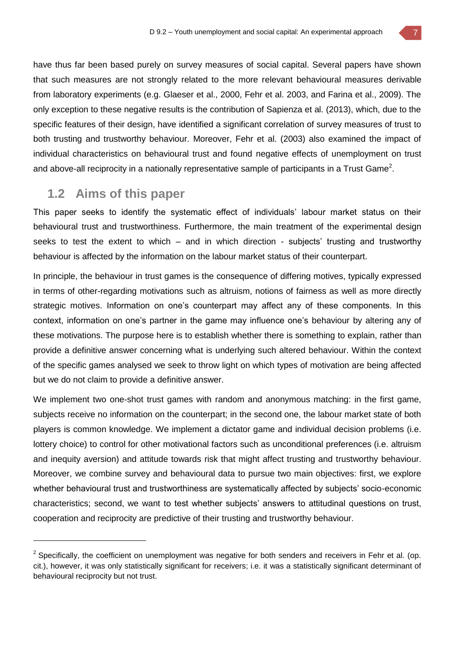have thus far been based purely on survey measures of social capital. Several papers have shown that such measures are not strongly related to the more relevant behavioural measures derivable from laboratory experiments (e.g. Glaeser et al., 2000, Fehr et al. 2003, and Farina et al., 2009). The only exception to these negative results is the contribution of Sapienza et al. (2013), which, due to the specific features of their design, have identified a significant correlation of survey measures of trust to both trusting and trustworthy behaviour. Moreover, Fehr et al. (2003) also examined the impact of individual characteristics on behavioural trust and found negative effects of unemployment on trust and above-all reciprocity in a nationally representative sample of participants in a Trust Game<sup>2</sup>.

## **1.2 Aims of this paper**

This paper seeks to identify the systematic effect of individuals' labour market status on their behavioural trust and trustworthiness. Furthermore, the main treatment of the experimental design seeks to test the extent to which  $-$  and in which direction - subjects' trusting and trustworthy behaviour is affected by the information on the labour market status of their counterpart.

In principle, the behaviour in trust games is the consequence of differing motives, typically expressed in terms of other-regarding motivations such as altruism, notions of fairness as well as more directly strategic motives. Information on one's counterpart may affect any of these components. In this context, information on one's partner in the game may influence one's behaviour by altering any of these motivations. The purpose here is to establish whether there is something to explain, rather than provide a definitive answer concerning what is underlying such altered behaviour. Within the context of the specific games analysed we seek to throw light on which types of motivation are being affected but we do not claim to provide a definitive answer.

We implement two one-shot trust games with random and anonymous matching: in the first game, subjects receive no information on the counterpart; in the second one, the labour market state of both players is common knowledge. We implement a dictator game and individual decision problems (i.e. lottery choice) to control for other motivational factors such as unconditional preferences (i.e. altruism and inequity aversion) and attitude towards risk that might affect trusting and trustworthy behaviour. Moreover, we combine survey and behavioural data to pursue two main objectives: first, we explore whether behavioural trust and trustworthiness are systematically affected by subjects' socio-economic characteristics; second, we want to test whether subjects' answers to attitudinal questions on trust, cooperation and reciprocity are predictive of their trusting and trustworthy behaviour.

 $2$  Specifically, the coefficient on unemployment was negative for both senders and receivers in Fehr et al. (op. cit.), however, it was only statistically significant for receivers; i.e. it was a statistically significant determinant of behavioural reciprocity but not trust.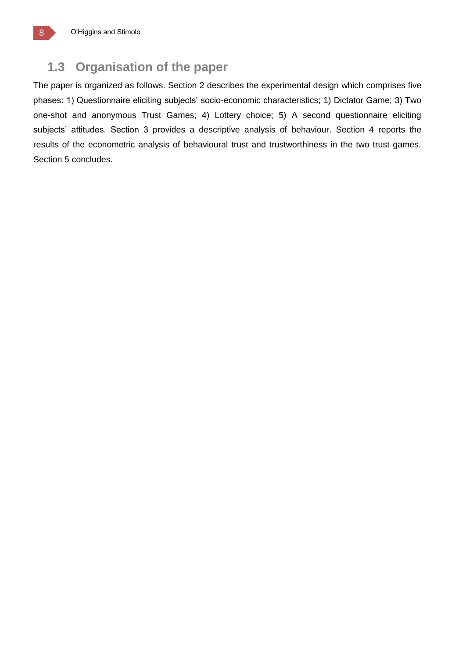## **1.3 Organisation of the paper**

The paper is organized as follows. Section 2 describes the experimental design which comprises five phases: 1) Questionnaire eliciting subjects' socio-economic characteristics; 1) Dictator Game; 3) Two one-shot and anonymous Trust Games; 4) Lottery choice; 5) A second questionnaire eliciting subjects' attitudes. Section 3 provides a descriptive analysis of behaviour. Section 4 reports the results of the econometric analysis of behavioural trust and trustworthiness in the two trust games. Section 5 concludes.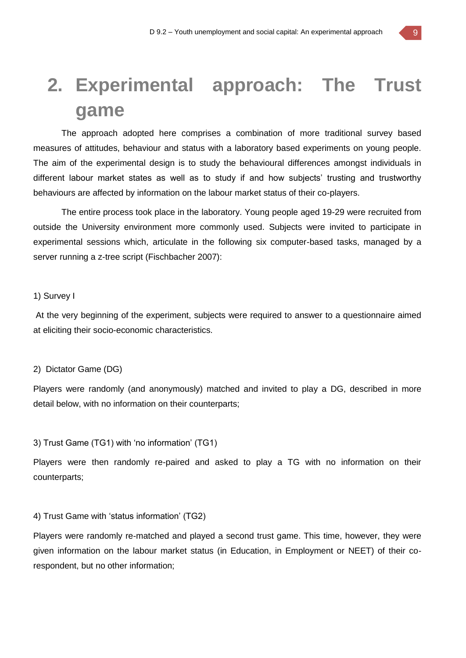## **2. Experimental approach: The Trust game**

The approach adopted here comprises a combination of more traditional survey based measures of attitudes, behaviour and status with a laboratory based experiments on young people. The aim of the experimental design is to study the behavioural differences amongst individuals in different labour market states as well as to study if and how subjects' trusting and trustworthy behaviours are affected by information on the labour market status of their co-players.

The entire process took place in the laboratory. Young people aged 19-29 were recruited from outside the University environment more commonly used. Subjects were invited to participate in experimental sessions which, articulate in the following six computer-based tasks, managed by a server running a z-tree script (Fischbacher 2007):

#### 1) Survey I

At the very beginning of the experiment, subjects were required to answer to a questionnaire aimed at eliciting their socio-economic characteristics.

#### 2) Dictator Game (DG)

Players were randomly (and anonymously) matched and invited to play a DG, described in more detail below, with no information on their counterparts;

#### 3) Trust Game (TG1) with 'no information' (TG1)

Players were then randomly re-paired and asked to play a TG with no information on their counterparts;

#### 4) Trust Game with 'status information' (TG2)

Players were randomly re-matched and played a second trust game. This time, however, they were given information on the labour market status (in Education, in Employment or NEET) of their corespondent, but no other information;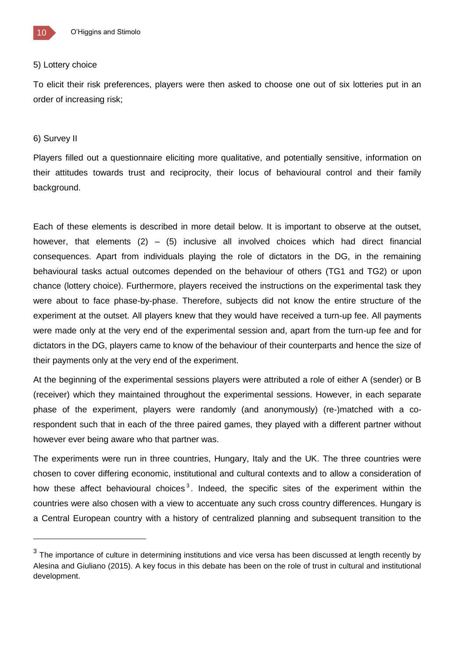

#### 5) Lottery choice

To elicit their risk preferences, players were then asked to choose one out of six lotteries put in an order of increasing risk;

#### 6) Survey II

 $\overline{a}$ 

Players filled out a questionnaire eliciting more qualitative, and potentially sensitive, information on their attitudes towards trust and reciprocity, their locus of behavioural control and their family background.

Each of these elements is described in more detail below. It is important to observe at the outset, however, that elements  $(2) - (5)$  inclusive all involved choices which had direct financial consequences. Apart from individuals playing the role of dictators in the DG, in the remaining behavioural tasks actual outcomes depended on the behaviour of others (TG1 and TG2) or upon chance (lottery choice). Furthermore, players received the instructions on the experimental task they were about to face phase-by-phase. Therefore, subjects did not know the entire structure of the experiment at the outset. All players knew that they would have received a turn-up fee. All payments were made only at the very end of the experimental session and, apart from the turn-up fee and for dictators in the DG, players came to know of the behaviour of their counterparts and hence the size of their payments only at the very end of the experiment.

At the beginning of the experimental sessions players were attributed a role of either A (sender) or B (receiver) which they maintained throughout the experimental sessions. However, in each separate phase of the experiment, players were randomly (and anonymously) (re-)matched with a corespondent such that in each of the three paired games, they played with a different partner without however ever being aware who that partner was.

The experiments were run in three countries, Hungary, Italy and the UK. The three countries were chosen to cover differing economic, institutional and cultural contexts and to allow a consideration of how these affect behavioural choices<sup>3</sup>. Indeed, the specific sites of the experiment within the countries were also chosen with a view to accentuate any such cross country differences. Hungary is a Central European country with a history of centralized planning and subsequent transition to the

 $3$  The importance of culture in determining institutions and vice versa has been discussed at length recently by Alesina and Giuliano (2015). A key focus in this debate has been on the role of trust in cultural and institutional development.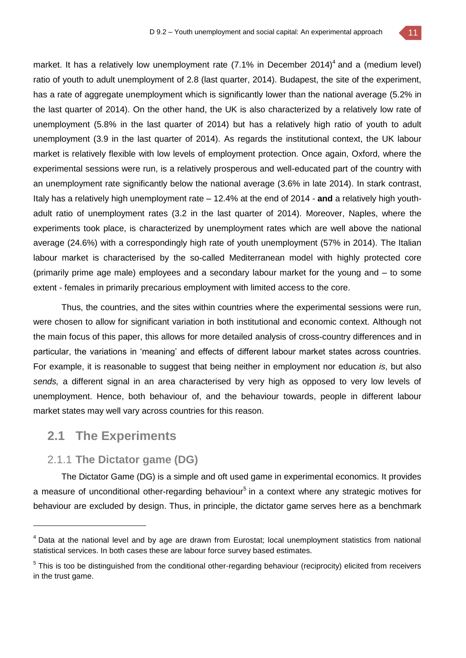

market. It has a relatively low unemployment rate (7.1% in December 2014)<sup>4</sup> and a (medium level) ratio of youth to adult unemployment of 2.8 (last quarter, 2014). Budapest, the site of the experiment, has a rate of aggregate unemployment which is significantly lower than the national average (5.2% in the last quarter of 2014). On the other hand, the UK is also characterized by a relatively low rate of unemployment (5.8% in the last quarter of 2014) but has a relatively high ratio of youth to adult unemployment (3.9 in the last quarter of 2014). As regards the institutional context, the UK labour market is relatively flexible with low levels of employment protection. Once again, Oxford, where the experimental sessions were run, is a relatively prosperous and well-educated part of the country with an unemployment rate significantly below the national average (3.6% in late 2014). In stark contrast, Italy has a relatively high unemployment rate – 12.4% at the end of 2014 - **and** a relatively high youthadult ratio of unemployment rates (3.2 in the last quarter of 2014). Moreover, Naples, where the experiments took place, is characterized by unemployment rates which are well above the national average (24.6%) with a correspondingly high rate of youth unemployment (57% in 2014). The Italian labour market is characterised by the so-called Mediterranean model with highly protected core (primarily prime age male) employees and a secondary labour market for the young and – to some extent - females in primarily precarious employment with limited access to the core.

Thus, the countries, and the sites within countries where the experimental sessions were run, were chosen to allow for significant variation in both institutional and economic context. Although not the main focus of this paper, this allows for more detailed analysis of cross-country differences and in particular, the variations in 'meaning' and effects of different labour market states across countries. For example, it is reasonable to suggest that being neither in employment nor education *is*, but also *sends,* a different signal in an area characterised by very high as opposed to very low levels of unemployment. Hence, both behaviour of, and the behaviour towards, people in different labour market states may well vary across countries for this reason.

## **2.1 The Experiments**

 $\overline{a}$ 

### 2.1.1 **The Dictator game (DG)**

The Dictator Game (DG) is a simple and oft used game in experimental economics. It provides a measure of unconditional other-regarding behaviour<sup>5</sup> in a context where any strategic motives for behaviour are excluded by design. Thus, in principle, the dictator game serves here as a benchmark

<sup>&</sup>lt;sup>4</sup> Data at the national level and by age are drawn from Eurostat; local unemployment statistics from national statistical services. In both cases these are labour force survey based estimates.

<sup>&</sup>lt;sup>5</sup> This is too be distinguished from the conditional other-regarding behaviour (reciprocity) elicited from receivers in the trust game.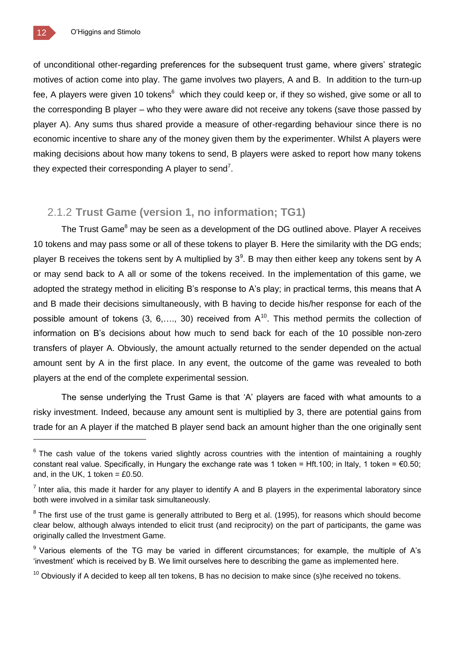of unconditional other-regarding preferences for the subsequent trust game, where givers' strategic motives of action come into play. The game involves two players, A and B. In addition to the turn-up fee, A players were given 10 tokens<sup>6</sup> which they could keep or, if they so wished, give some or all to the corresponding B player – who they were aware did not receive any tokens (save those passed by player A). Any sums thus shared provide a measure of other-regarding behaviour since there is no economic incentive to share any of the money given them by the experimenter. Whilst A players were making decisions about how many tokens to send, B players were asked to report how many tokens they expected their corresponding A player to send<sup>7</sup>.

#### 2.1.2 **Trust Game (version 1, no information; TG1)**

The Trust Game<sup>8</sup> may be seen as a development of the DG outlined above. Player A receives 10 tokens and may pass some or all of these tokens to player B. Here the similarity with the DG ends; player B receives the tokens sent by A multiplied by  $3<sup>9</sup>$ . B may then either keep any tokens sent by A or may send back to A all or some of the tokens received. In the implementation of this game, we adopted the strategy method in eliciting B's response to A's play; in practical terms, this means that A and B made their decisions simultaneously, with B having to decide his/her response for each of the possible amount of tokens  $(3, 6,..., 30)$  received from  $A^{10}$ . This method permits the collection of information on B's decisions about how much to send back for each of the 10 possible non-zero transfers of player A. Obviously, the amount actually returned to the sender depended on the actual amount sent by A in the first place. In any event, the outcome of the game was revealed to both players at the end of the complete experimental session.

The sense underlying the Trust Game is that 'A' players are faced with what amounts to a risky investment. Indeed, because any amount sent is multiplied by 3, there are potential gains from trade for an A player if the matched B player send back an amount higher than the one originally sent

 $6$  The cash value of the tokens varied slightly across countries with the intention of maintaining a roughly constant real value. Specifically, in Hungary the exchange rate was 1 token = Hft.100; in Italy, 1 token = €0.50; and, in the UK, 1 token =  $£0.50$ .

 $<sup>7</sup>$  Inter alia, this made it harder for any player to identify A and B players in the experimental laboratory since</sup> both were involved in a similar task simultaneously.

 $8$  The first use of the trust game is generally attributed to Berg et al. (1995), for reasons which should become clear below, although always intended to elicit trust (and reciprocity) on the part of participants, the game was originally called the Investment Game.

<sup>&</sup>lt;sup>9</sup> Various elements of the TG may be varied in different circumstances; for example, the multiple of A's 'investment' which is received by B. We limit ourselves here to describing the game as implemented here.

 $10$  Obviously if A decided to keep all ten tokens, B has no decision to make since (s)he received no tokens.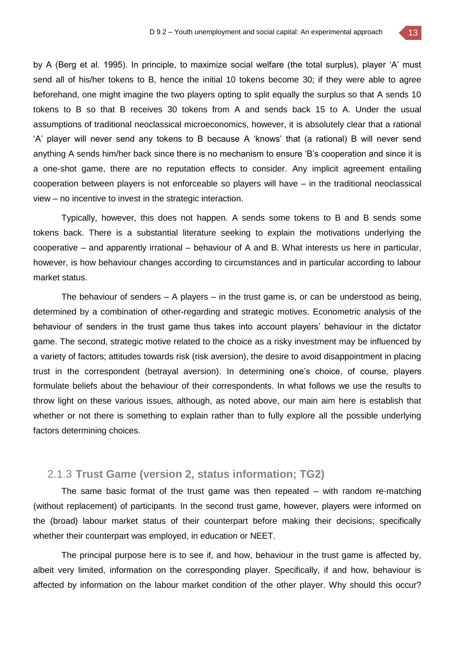by A (Berg et al. 1995). In principle, to maximize social welfare (the total surplus), player 'A' must send all of his/her tokens to B, hence the initial 10 tokens become 30; if they were able to agree beforehand, one might imagine the two players opting to split equally the surplus so that A sends 10 tokens to B so that B receives 30 tokens from A and sends back 15 to A. Under the usual assumptions of traditional neoclassical microeconomics, however, it is absolutely clear that a rational 'A' player will never send any tokens to B because A 'knows' that (a rational) B will never send anything A sends him/her back since there is no mechanism to ensure 'B's cooperation and since it is a one-shot game, there are no reputation effects to consider. Any implicit agreement entailing cooperation between players is not enforceable so players will have – in the traditional neoclassical view – no incentive to invest in the strategic interaction.

Typically, however, this does not happen. A sends some tokens to B and B sends some tokens back. There is a substantial literature seeking to explain the motivations underlying the cooperative – and apparently irrational – behaviour of A and B. What interests us here in particular, however, is how behaviour changes according to circumstances and in particular according to labour market status.

The behaviour of senders  $-$  A players  $-$  in the trust game is, or can be understood as being, determined by a combination of other-regarding and strategic motives. Econometric analysis of the behaviour of senders in the trust game thus takes into account players' behaviour in the dictator game. The second, strategic motive related to the choice as a risky investment may be influenced by a variety of factors; attitudes towards risk (risk aversion), the desire to avoid disappointment in placing trust in the correspondent (betrayal aversion). In determining one's choice, of course, players formulate beliefs about the behaviour of their correspondents. In what follows we use the results to throw light on these various issues, although, as noted above, our main aim here is establish that whether or not there is something to explain rather than to fully explore all the possible underlying factors determining choices.

#### 2.1.3 **Trust Game (version 2, status information; TG2)**

The same basic format of the trust game was then repeated – with random re-matching (without replacement) of participants. In the second trust game, however, players were informed on the (broad) labour market status of their counterpart before making their decisions; specifically whether their counterpart was employed, in education or NEET.

The principal purpose here is to see if, and how, behaviour in the trust game is affected by, albeit very limited, information on the corresponding player. Specifically, if and how, behaviour is affected by information on the labour market condition of the other player. Why should this occur?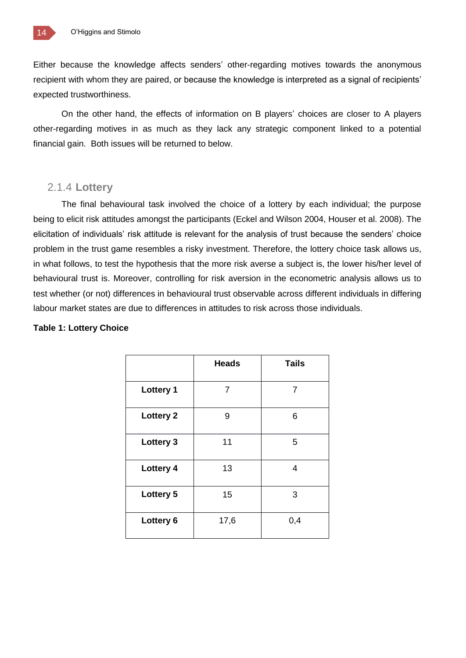Either because the knowledge affects senders' other-regarding motives towards the anonymous recipient with whom they are paired, or because the knowledge is interpreted as a signal of recipients' expected trustworthiness.

On the other hand, the effects of information on B players' choices are closer to A players other-regarding motives in as much as they lack any strategic component linked to a potential financial gain. Both issues will be returned to below.

#### 2.1.4 **Lottery**

The final behavioural task involved the choice of a lottery by each individual; the purpose being to elicit risk attitudes amongst the participants (Eckel and Wilson 2004, Houser et al. 2008). The elicitation of individuals' risk attitude is relevant for the analysis of trust because the senders' choice problem in the trust game resembles a risky investment. Therefore, the lottery choice task allows us, in what follows, to test the hypothesis that the more risk averse a subject is, the lower his/her level of behavioural trust is. Moreover, controlling for risk aversion in the econometric analysis allows us to test whether (or not) differences in behavioural trust observable across different individuals in differing labour market states are due to differences in attitudes to risk across those individuals.

#### **Table 1: Lottery Choice**

|                  | <b>Heads</b>   | <b>Tails</b>   |
|------------------|----------------|----------------|
|                  |                |                |
| <b>Lottery 1</b> | $\overline{7}$ | $\overline{7}$ |
| <b>Lottery 2</b> | 9              | 6              |
| <b>Lottery 3</b> | 11             | 5              |
| Lottery 4        | 13             | 4              |
| <b>Lottery 5</b> | 15             | 3              |
| Lottery 6        | 17,6           | 0,4            |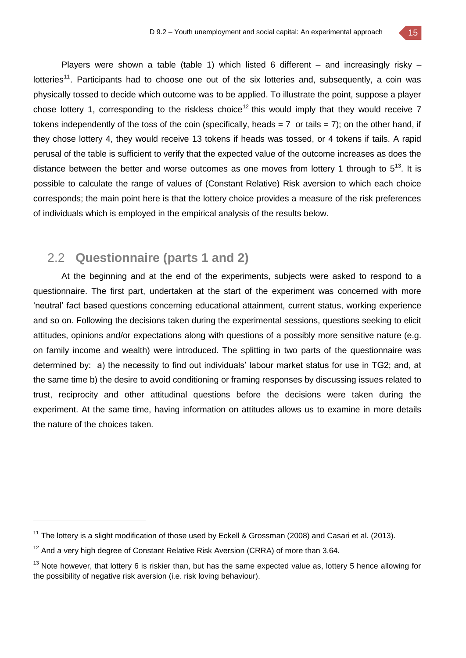Players were shown a table (table 1) which listed 6 different – and increasingly risky – lotteries<sup>11</sup>. Participants had to choose one out of the six lotteries and, subsequently, a coin was physically tossed to decide which outcome was to be applied. To illustrate the point, suppose a player chose lottery 1, corresponding to the riskless choice<sup>12</sup> this would imply that they would receive 7 tokens independently of the toss of the coin (specifically, heads  $= 7$  or tails  $= 7$ ); on the other hand, if they chose lottery 4, they would receive 13 tokens if heads was tossed, or 4 tokens if tails. A rapid perusal of the table is sufficient to verify that the expected value of the outcome increases as does the distance between the better and worse outcomes as one moves from lottery 1 through to  $5^{13}$ . It is possible to calculate the range of values of (Constant Relative) Risk aversion to which each choice corresponds; the main point here is that the lottery choice provides a measure of the risk preferences of individuals which is employed in the empirical analysis of the results below.

### 2.2 **Questionnaire (parts 1 and 2)**

At the beginning and at the end of the experiments, subjects were asked to respond to a questionnaire. The first part, undertaken at the start of the experiment was concerned with more 'neutral' fact based questions concerning educational attainment, current status, working experience and so on. Following the decisions taken during the experimental sessions, questions seeking to elicit attitudes, opinions and/or expectations along with questions of a possibly more sensitive nature (e.g. on family income and wealth) were introduced. The splitting in two parts of the questionnaire was determined by: a) the necessity to find out individuals' labour market status for use in TG2; and, at the same time b) the desire to avoid conditioning or framing responses by discussing issues related to trust, reciprocity and other attitudinal questions before the decisions were taken during the experiment. At the same time, having information on attitudes allows us to examine in more details the nature of the choices taken.

 $\overline{a}$ 

<sup>&</sup>lt;sup>11</sup> The lottery is a slight modification of those used by Eckell & Grossman (2008) and Casari et al. (2013).

 $12$  And a very high degree of Constant Relative Risk Aversion (CRRA) of more than 3.64.

 $13$  Note however, that lottery 6 is riskier than, but has the same expected value as, lottery 5 hence allowing for the possibility of negative risk aversion (i.e. risk loving behaviour).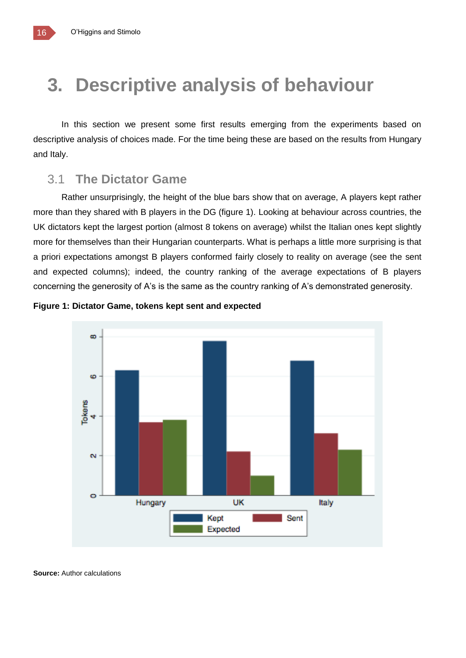## **3. Descriptive analysis of behaviour**

In this section we present some first results emerging from the experiments based on descriptive analysis of choices made. For the time being these are based on the results from Hungary and Italy.

### 3.1 **The Dictator Game**

Rather unsurprisingly, the height of the blue bars show that on average, A players kept rather more than they shared with B players in the DG (figure 1). Looking at behaviour across countries, the UK dictators kept the largest portion (almost 8 tokens on average) whilst the Italian ones kept slightly more for themselves than their Hungarian counterparts. What is perhaps a little more surprising is that a priori expectations amongst B players conformed fairly closely to reality on average (see the sent and expected columns); indeed, the country ranking of the average expectations of B players concerning the generosity of A's is the same as the country ranking of A's demonstrated generosity.





**Source:** Author calculations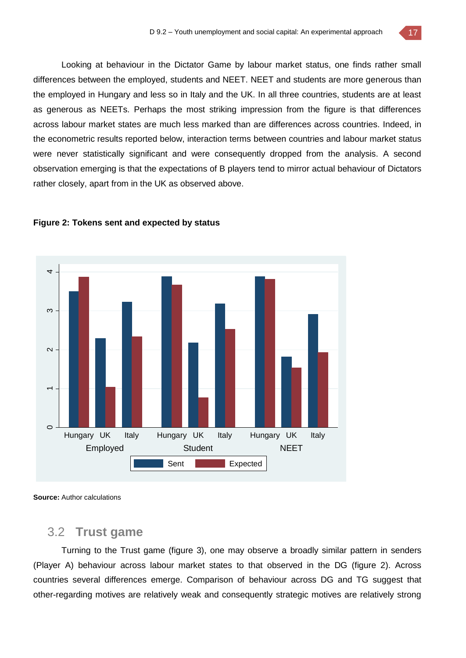Looking at behaviour in the Dictator Game by labour market status, one finds rather small differences between the employed, students and NEET. NEET and students are more generous than the employed in Hungary and less so in Italy and the UK. In all three countries, students are at least as generous as NEETs. Perhaps the most striking impression from the figure is that differences across labour market states are much less marked than are differences across countries. Indeed, in the econometric results reported below, interaction terms between countries and labour market status were never statistically significant and were consequently dropped from the analysis. A second observation emerging is that the expectations of B players tend to mirror actual behaviour of Dictators rather closely, apart from in the UK as observed above.



#### **Figure 2: Tokens sent and expected by status**

**Source:** Author calculations

## 3.2 **Trust game**

Turning to the Trust game (figure 3), one may observe a broadly similar pattern in senders (Player A) behaviour across labour market states to that observed in the DG (figure 2). Across countries several differences emerge. Comparison of behaviour across DG and TG suggest that other-regarding motives are relatively weak and consequently strategic motives are relatively strong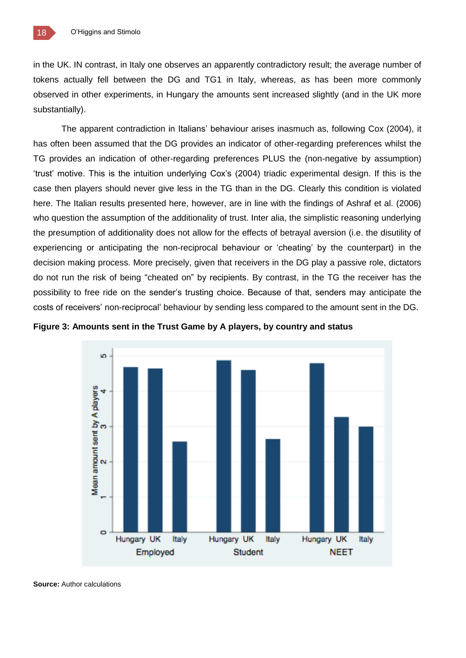in the UK. IN contrast, in Italy one observes an apparently contradictory result; the average number of tokens actually fell between the DG and TG1 in Italy, whereas, as has been more commonly observed in other experiments, in Hungary the amounts sent increased slightly (and in the UK more substantially).

The apparent contradiction in Italians' behaviour arises inasmuch as, following Cox (2004), it has often been assumed that the DG provides an indicator of other-regarding preferences whilst the TG provides an indication of other-regarding preferences PLUS the (non-negative by assumption) 'trust' motive. This is the intuition underlying Cox's (2004) triadic experimental design. If this is the case then players should never give less in the TG than in the DG. Clearly this condition is violated here. The Italian results presented here, however, are in line with the findings of Ashraf et al. (2006) who question the assumption of the additionality of trust. Inter alia, the simplistic reasoning underlying the presumption of additionality does not allow for the effects of betrayal aversion (i.e. the disutility of experiencing or anticipating the non-reciprocal behaviour or 'cheating' by the counterpart) in the decision making process. More precisely, given that receivers in the DG play a passive role, dictators do not run the risk of being "cheated on" by recipients. By contrast, in the TG the receiver has the possibility to free ride on the sender's trusting choice. Because of that, senders may anticipate the costs of receivers' non-reciprocal' behaviour by sending less compared to the amount sent in the DG.





**Source:** Author calculations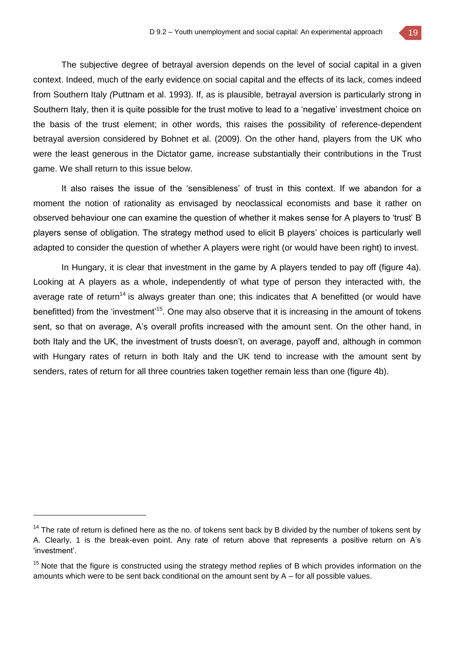The subjective degree of betrayal aversion depends on the level of social capital in a given context. Indeed, much of the early evidence on social capital and the effects of its lack, comes indeed from Southern Italy *(*Puttnam et al. 1993). If, as is plausible, betrayal aversion is particularly strong in Southern Italy, then it is quite possible for the trust motive to lead to a 'negative' investment choice on the basis of the trust element; in other words, this raises the possibility of reference-dependent betrayal aversion considered by Bohnet et al. (2009). On the other hand, players from the UK who were the least generous in the Dictator game, increase substantially their contributions in the Trust game. We shall return to this issue below.

It also raises the issue of the 'sensibleness' of trust in this context. If we abandon for a moment the notion of rationality as envisaged by neoclassical economists and base it rather on observed behaviour one can examine the question of whether it makes sense for A players to 'trust' B players sense of obligation. The strategy method used to elicit B players' choices is particularly well adapted to consider the question of whether A players were right (or would have been right) to invest.

In Hungary, it is clear that investment in the game by A players tended to pay off (figure 4a). Looking at A players as a whole, independently of what type of person they interacted with, the average rate of return<sup>14</sup> is always greater than one; this indicates that A benefitted (or would have benefitted) from the 'investment'<sup>15</sup>. One may also observe that it is increasing in the amount of tokens sent, so that on average, A's overall profits increased with the amount sent. On the other hand, in both Italy and the UK, the investment of trusts doesn't, on average, payoff and, although in common with Hungary rates of return in both Italy and the UK tend to increase with the amount sent by senders, rates of return for all three countries taken together remain less than one (figure 4b).

 $\overline{a}$ 

 $14$  The rate of return is defined here as the no. of tokens sent back by B divided by the number of tokens sent by A. Clearly, 1 is the break-even point. Any rate of return above that represents a positive return on A's 'investment'.

<sup>&</sup>lt;sup>15</sup> Note that the figure is constructed using the strategy method replies of B which provides information on the amounts which were to be sent back conditional on the amount sent by  $A$  – for all possible values.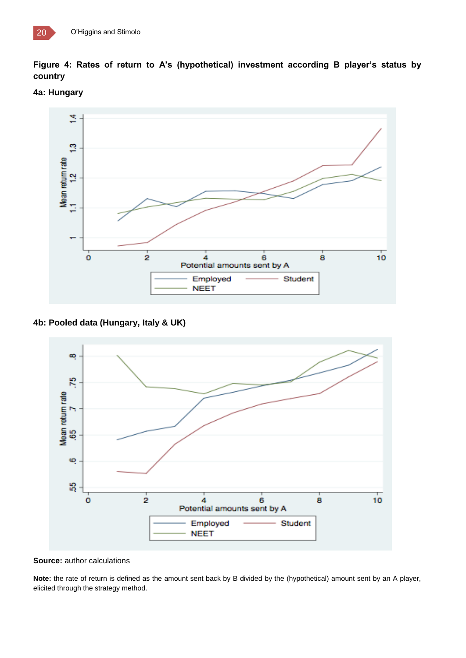





**4b: Pooled data (Hungary, Italy & UK)**



**Source:** author calculations

**Note:** the rate of return is defined as the amount sent back by B divided by the (hypothetical) amount sent by an A player, elicited through the strategy method.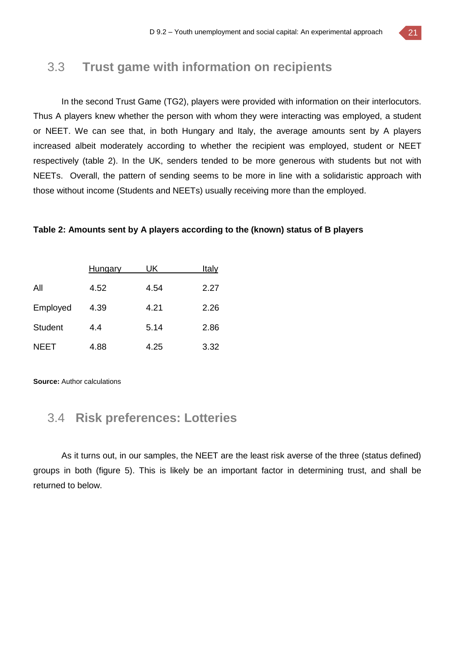## 3.3 **Trust game with information on recipients**

In the second Trust Game (TG2), players were provided with information on their interlocutors. Thus A players knew whether the person with whom they were interacting was employed, a student or NEET. We can see that, in both Hungary and Italy, the average amounts sent by A players increased albeit moderately according to whether the recipient was employed, student or NEET respectively (table 2). In the UK, senders tended to be more generous with students but not with NEETs. Overall, the pattern of sending seems to be more in line with a solidaristic approach with those without income (Students and NEETs) usually receiving more than the employed.

#### **Table 2: Amounts sent by A players according to the (known) status of B players**

|                | Hungary | UK   | Italy |
|----------------|---------|------|-------|
| All            | 4.52    | 4.54 | 2.27  |
| Employed       | 4.39    | 4.21 | 2.26  |
| <b>Student</b> | 4.4     | 5.14 | 2.86  |
| <b>NEET</b>    | 4.88    | 4.25 | 3.32  |

**Source:** Author calculations

## 3.4 **Risk preferences: Lotteries**

As it turns out, in our samples, the NEET are the least risk averse of the three (status defined) groups in both (figure 5). This is likely be an important factor in determining trust, and shall be returned to below.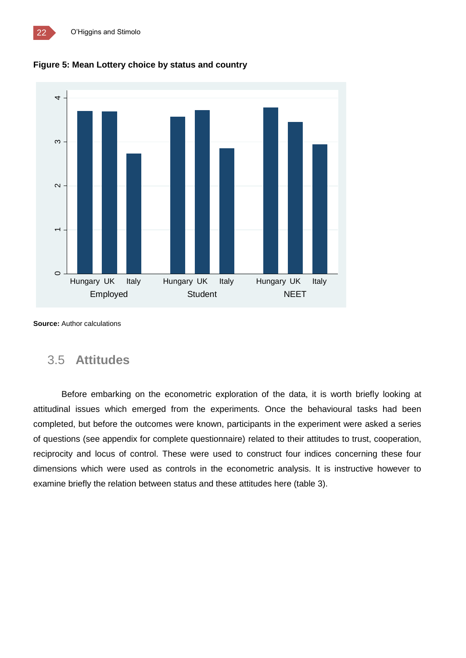



**Source:** Author calculations

## 3.5 **Attitudes**

Before embarking on the econometric exploration of the data, it is worth briefly looking at attitudinal issues which emerged from the experiments. Once the behavioural tasks had been completed, but before the outcomes were known, participants in the experiment were asked a series of questions (see appendix for complete questionnaire) related to their attitudes to trust, cooperation, reciprocity and locus of control. These were used to construct four indices concerning these four dimensions which were used as controls in the econometric analysis. It is instructive however to examine briefly the relation between status and these attitudes here (table 3).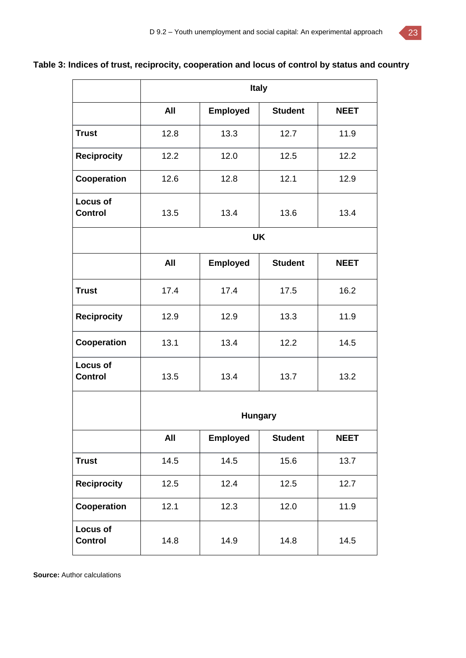## **Table 3: Indices of trust, reciprocity, cooperation and locus of control by status and country**

|                                   | <b>Italy</b> |                 |                |             |
|-----------------------------------|--------------|-----------------|----------------|-------------|
|                                   | All          | <b>Employed</b> | <b>Student</b> | <b>NEET</b> |
| <b>Trust</b>                      | 12.8         | 13.3            | 12.7           | 11.9        |
| <b>Reciprocity</b>                | 12.2         | 12.0            | 12.5           | 12.2        |
| Cooperation                       | 12.6         | 12.8            | 12.1           | 12.9        |
| <b>Locus of</b><br><b>Control</b> | 13.5         | 13.4            | 13.6           | 13.4        |
|                                   |              |                 | <b>UK</b>      |             |
|                                   | All          | <b>Employed</b> | <b>Student</b> | <b>NEET</b> |
| <b>Trust</b>                      | 17.4         | 17.4            | 17.5           | 16.2        |
| <b>Reciprocity</b>                | 12.9         | 12.9            | 13.3           | 11.9        |
| Cooperation                       | 13.1         | 13.4            | 12.2           | 14.5        |
| <b>Locus of</b><br><b>Control</b> | 13.5         | 13.4            | 13.7           | 13.2        |
|                                   |              |                 | <b>Hungary</b> |             |
|                                   | All          | <b>Employed</b> | <b>Student</b> | <b>NEET</b> |
| <b>Trust</b>                      | 14.5         | 14.5            | 15.6           | 13.7        |
| <b>Reciprocity</b>                | 12.5         | 12.4            | 12.5           | 12.7        |
| Cooperation                       | 12.1         | 12.3            | 12.0           | 11.9        |
| Locus of<br><b>Control</b>        | 14.8         | 14.9            | 14.8           | 14.5        |

**Source:** Author calculations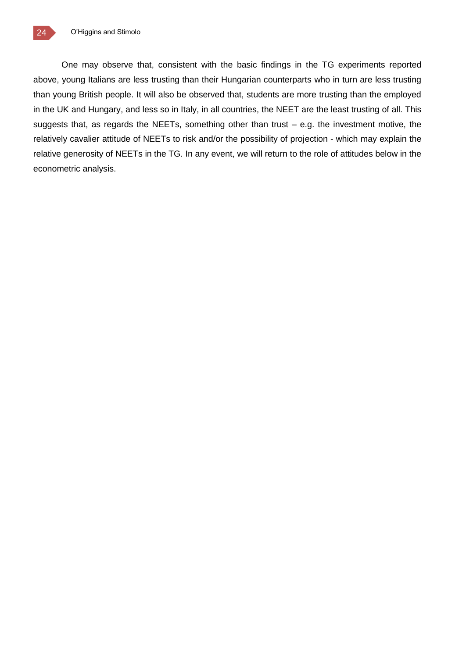One may observe that, consistent with the basic findings in the TG experiments reported above, young Italians are less trusting than their Hungarian counterparts who in turn are less trusting than young British people. It will also be observed that, students are more trusting than the employed in the UK and Hungary, and less so in Italy, in all countries, the NEET are the least trusting of all. This suggests that, as regards the NEETs, something other than trust – e.g. the investment motive, the relatively cavalier attitude of NEETs to risk and/or the possibility of projection - which may explain the relative generosity of NEETs in the TG. In any event, we will return to the role of attitudes below in the econometric analysis.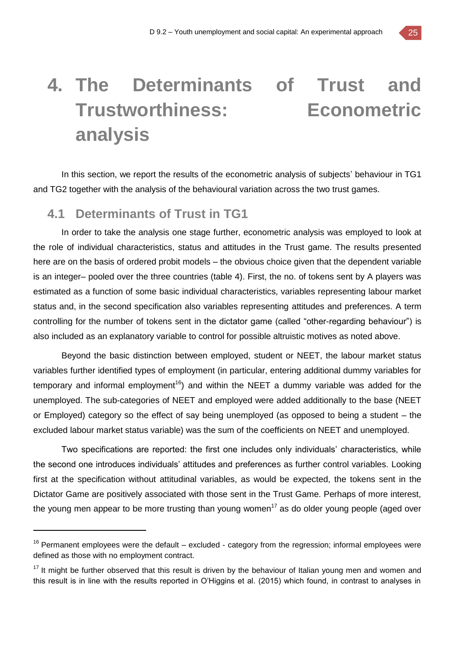## **4. The Determinants of Trust and Trustworthiness: Econometric analysis**

In this section, we report the results of the econometric analysis of subjects' behaviour in TG1 and TG2 together with the analysis of the behavioural variation across the two trust games.

## **4.1 Determinants of Trust in TG1**

 $\overline{a}$ 

In order to take the analysis one stage further, econometric analysis was employed to look at the role of individual characteristics, status and attitudes in the Trust game. The results presented here are on the basis of ordered probit models – the obvious choice given that the dependent variable is an integer– pooled over the three countries (table 4). First, the no. of tokens sent by A players was estimated as a function of some basic individual characteristics, variables representing labour market status and, in the second specification also variables representing attitudes and preferences. A term controlling for the number of tokens sent in the dictator game (called "other-regarding behaviour") is also included as an explanatory variable to control for possible altruistic motives as noted above.

Beyond the basic distinction between employed, student or NEET, the labour market status variables further identified types of employment (in particular, entering additional dummy variables for temporary and informal employment<sup>16</sup>) and within the NEET a dummy variable was added for the unemployed. The sub-categories of NEET and employed were added additionally to the base (NEET or Employed) category so the effect of say being unemployed (as opposed to being a student – the excluded labour market status variable) was the sum of the coefficients on NEET and unemployed.

Two specifications are reported: the first one includes only individuals' characteristics, while the second one introduces individuals' attitudes and preferences as further control variables. Looking first at the specification without attitudinal variables, as would be expected, the tokens sent in the Dictator Game are positively associated with those sent in the Trust Game. Perhaps of more interest, the young men appear to be more trusting than young women<sup>17</sup> as do older young people (aged over

 $16$  Permanent employees were the default – excluded - category from the regression; informal employees were defined as those with no employment contract.

 $17$  It might be further observed that this result is driven by the behaviour of Italian young men and women and this result is in line with the results reported in O'Higgins et al. (2015) which found, in contrast to analyses in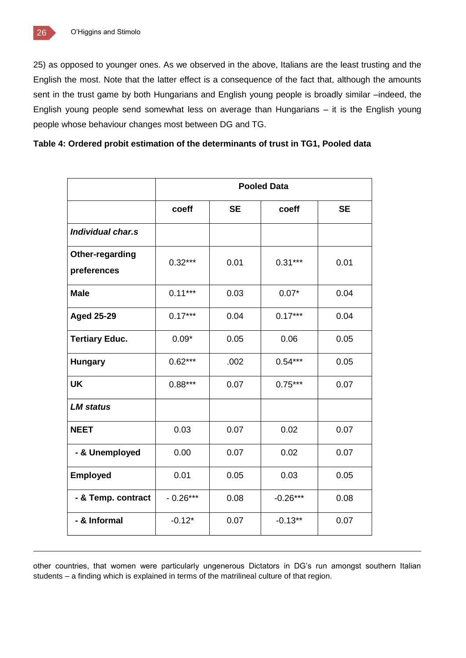25) as opposed to younger ones. As we observed in the above, Italians are the least trusting and the English the most. Note that the latter effect is a consequence of the fact that, although the amounts sent in the trust game by both Hungarians and English young people is broadly similar –indeed, the English young people send somewhat less on average than Hungarians – it is the English young people whose behaviour changes most between DG and TG.

|  | Table 4: Ordered probit estimation of the determinants of trust in TG1, Pooled data |  |
|--|-------------------------------------------------------------------------------------|--|
|  |                                                                                     |  |

|                                | <b>Pooled Data</b> |           |            |           |
|--------------------------------|--------------------|-----------|------------|-----------|
|                                | coeff              | <b>SE</b> | coeff      | <b>SE</b> |
| Individual char.s              |                    |           |            |           |
| Other-regarding<br>preferences | $0.32***$          | 0.01      | $0.31***$  | 0.01      |
| <b>Male</b>                    | $0.11***$          | 0.03      | $0.07*$    | 0.04      |
| <b>Aged 25-29</b>              | $0.17***$          | 0.04      | $0.17***$  | 0.04      |
| <b>Tertiary Educ.</b>          | $0.09*$            | 0.05      | 0.06       | 0.05      |
| <b>Hungary</b>                 | $0.62***$          | .002      | $0.54***$  | 0.05      |
| <b>UK</b>                      | $0.88***$          | 0.07      | $0.75***$  | 0.07      |
| <b>LM status</b>               |                    |           |            |           |
| <b>NEET</b>                    | 0.03               | 0.07      | 0.02       | 0.07      |
| - & Unemployed                 | 0.00               | 0.07      | 0.02       | 0.07      |
| <b>Employed</b>                | 0.01               | 0.05      | 0.03       | 0.05      |
| - & Temp. contract             | $-0.26***$         | 0.08      | $-0.26***$ | 0.08      |
| - & Informal                   | $-0.12*$           | 0.07      | $-0.13**$  | 0.07      |

other countries, that women were particularly ungenerous Dictators in DG's run amongst southern Italian students – a finding which is explained in terms of the matrilineal culture of that region.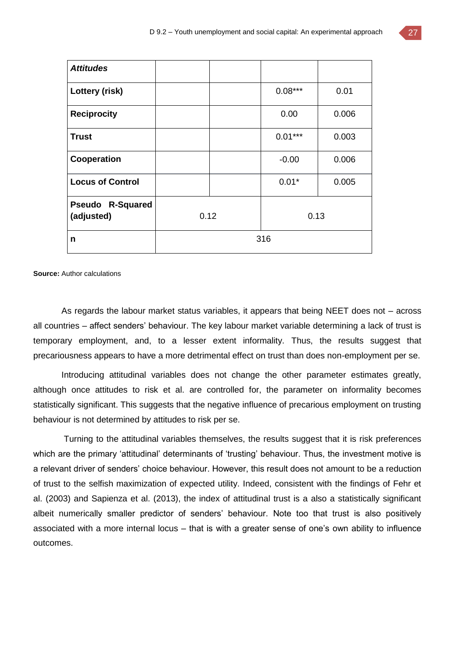| <b>Attitudes</b>                      |      |  |           |       |
|---------------------------------------|------|--|-----------|-------|
| Lottery (risk)                        |      |  | $0.08***$ | 0.01  |
| <b>Reciprocity</b>                    |      |  | 0.00      | 0.006 |
| <b>Trust</b>                          |      |  | $0.01***$ | 0.003 |
| Cooperation                           |      |  | $-0.00$   | 0.006 |
| <b>Locus of Control</b>               |      |  | $0.01*$   | 0.005 |
| <b>Pseudo R-Squared</b><br>(adjusted) | 0.12 |  | 0.13      |       |
| n                                     | 316  |  |           |       |

**Source:** Author calculations

As regards the labour market status variables, it appears that being NEET does not – across all countries – affect senders' behaviour. The key labour market variable determining a lack of trust is temporary employment, and, to a lesser extent informality. Thus, the results suggest that precariousness appears to have a more detrimental effect on trust than does non-employment per se.

Introducing attitudinal variables does not change the other parameter estimates greatly, although once attitudes to risk et al. are controlled for, the parameter on informality becomes statistically significant. This suggests that the negative influence of precarious employment on trusting behaviour is not determined by attitudes to risk per se.

Turning to the attitudinal variables themselves, the results suggest that it is risk preferences which are the primary 'attitudinal' determinants of 'trusting' behaviour. Thus, the investment motive is a relevant driver of senders' choice behaviour. However, this result does not amount to be a reduction of trust to the selfish maximization of expected utility. Indeed, consistent with the findings of Fehr et al. (2003) and Sapienza et al. (2013), the index of attitudinal trust is a also a statistically significant albeit numerically smaller predictor of senders' behaviour. Note too that trust is also positively associated with a more internal locus – that is with a greater sense of one's own ability to influence outcomes.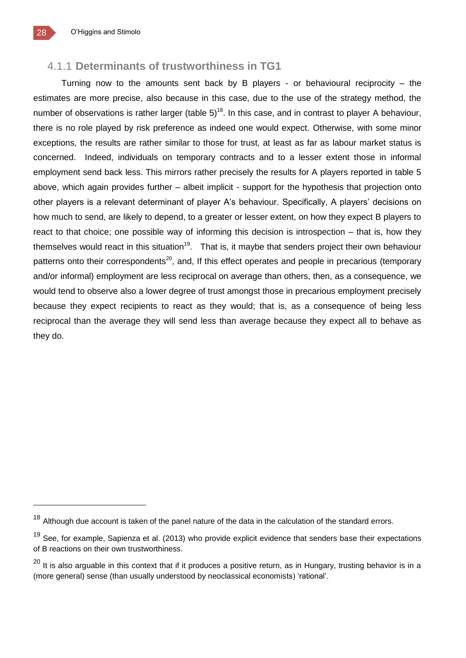### 4.1.1 **Determinants of trustworthiness in TG1**

Turning now to the amounts sent back by B players - or behavioural reciprocity – the estimates are more precise, also because in this case, due to the use of the strategy method, the number of observations is rather larger (table  $5)^{18}$ . In this case, and in contrast to player A behaviour, there is no role played by risk preference as indeed one would expect. Otherwise, with some minor exceptions, the results are rather similar to those for trust, at least as far as labour market status is concerned. Indeed, individuals on temporary contracts and to a lesser extent those in informal employment send back less. This mirrors rather precisely the results for A players reported in table 5 above, which again provides further – albeit implicit - support for the hypothesis that projection onto other players is a relevant determinant of player A's behaviour. Specifically, A players' decisions on how much to send, are likely to depend, to a greater or lesser extent, on how they expect B players to react to that choice; one possible way of informing this decision is introspection – that is, how they themselves would react in this situation<sup>19</sup>. That is, it maybe that senders project their own behaviour patterns onto their correspondents<sup>20</sup>, and, If this effect operates and people in precarious (temporary and/or informal) employment are less reciprocal on average than others, then, as a consequence, we would tend to observe also a lower degree of trust amongst those in precarious employment precisely because they expect recipients to react as they would; that is, as a consequence of being less reciprocal than the average they will send less than average because they expect all to behave as they do.

 $18$  Although due account is taken of the panel nature of the data in the calculation of the standard errors.

<sup>&</sup>lt;sup>19</sup> See, for example, Sapienza et al. (2013) who provide explicit evidence that senders base their expectations of B reactions on their own trustworthiness.

 $^{20}$  It is also arguable in this context that if it produces a positive return, as in Hungary, trusting behavior is in a (more general) sense (than usually understood by neoclassical economists) 'rational'.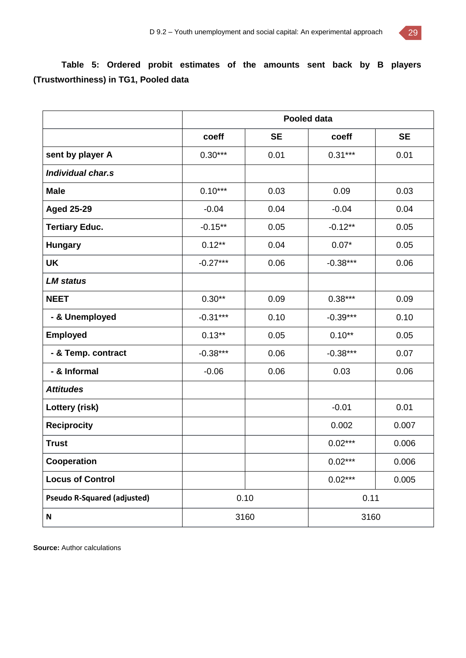

## **Table 5: Ordered probit estimates of the amounts sent back by B players (Trustworthiness) in TG1, Pooled data**

|                                    | <b>Pooled data</b> |           |            |           |
|------------------------------------|--------------------|-----------|------------|-----------|
|                                    | coeff              | <b>SE</b> | coeff      | <b>SE</b> |
| sent by player A                   | $0.30***$          | 0.01      | $0.31***$  | 0.01      |
| Individual char.s                  |                    |           |            |           |
| <b>Male</b>                        | $0.10***$          | 0.03      | 0.09       | 0.03      |
| <b>Aged 25-29</b>                  | $-0.04$            | 0.04      | $-0.04$    | 0.04      |
| <b>Tertiary Educ.</b>              | $-0.15***$         | 0.05      | $-0.12**$  | 0.05      |
| <b>Hungary</b>                     | $0.12***$          | 0.04      | $0.07*$    | 0.05      |
| <b>UK</b>                          | $-0.27***$         | 0.06      | $-0.38***$ | 0.06      |
| <b>LM</b> status                   |                    |           |            |           |
| <b>NEET</b>                        | $0.30**$           | 0.09      | $0.38***$  | 0.09      |
| - & Unemployed                     | $-0.31***$         | 0.10      | $-0.39***$ | 0.10      |
| <b>Employed</b>                    | $0.13***$          | 0.05      | $0.10**$   | 0.05      |
| - & Temp. contract                 | $-0.38***$         | 0.06      | $-0.38***$ | 0.07      |
| - & Informal                       | $-0.06$            | 0.06      | 0.03       | 0.06      |
| <b>Attitudes</b>                   |                    |           |            |           |
| Lottery (risk)                     |                    |           | $-0.01$    | 0.01      |
| <b>Reciprocity</b>                 |                    |           | 0.002      | 0.007     |
| <b>Trust</b>                       |                    |           | $0.02***$  | 0.006     |
| Cooperation                        |                    |           | $0.02***$  | 0.006     |
| <b>Locus of Control</b>            |                    |           | $0.02***$  | 0.005     |
| <b>Pseudo R-Squared (adjusted)</b> |                    | 0.10      | 0.11       |           |
| ${\sf N}$                          | 3160               |           | 3160       |           |

**Source:** Author calculations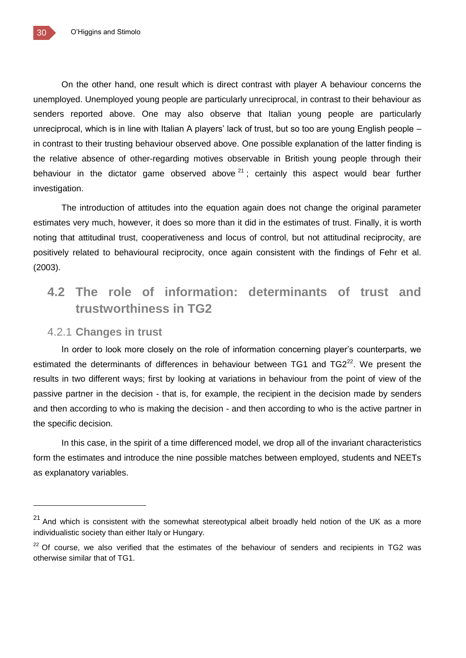On the other hand, one result which is direct contrast with player A behaviour concerns the unemployed. Unemployed young people are particularly unreciprocal, in contrast to their behaviour as senders reported above. One may also observe that Italian young people are particularly unreciprocal, which is in line with Italian A players' lack of trust, but so too are young English people – in contrast to their trusting behaviour observed above. One possible explanation of the latter finding is the relative absence of other-regarding motives observable in British young people through their behaviour in the dictator game observed above  $2^1$ ; certainly this aspect would bear further investigation.

The introduction of attitudes into the equation again does not change the original parameter estimates very much, however, it does so more than it did in the estimates of trust. Finally, it is worth noting that attitudinal trust, cooperativeness and locus of control, but not attitudinal reciprocity, are positively related to behavioural reciprocity, once again consistent with the findings of Fehr et al. (2003).

## **4.2 The role of information: determinants of trust and trustworthiness in TG2**

#### 4.2.1 **Changes in trust**

In order to look more closely on the role of information concerning player's counterparts, we estimated the determinants of differences in behaviour between TG1 and TG2 $^{22}$ . We present the results in two different ways; first by looking at variations in behaviour from the point of view of the passive partner in the decision - that is, for example, the recipient in the decision made by senders and then according to who is making the decision - and then according to who is the active partner in the specific decision.

In this case, in the spirit of a time differenced model, we drop all of the invariant characteristics form the estimates and introduce the nine possible matches between employed, students and NEETs as explanatory variables.

 $\overline{a}$ 

 $21$  And which is consistent with the somewhat stereotypical albeit broadly held notion of the UK as a more individualistic society than either Italy or Hungary.

 $22$  Of course, we also verified that the estimates of the behaviour of senders and recipients in TG2 was otherwise similar that of TG1.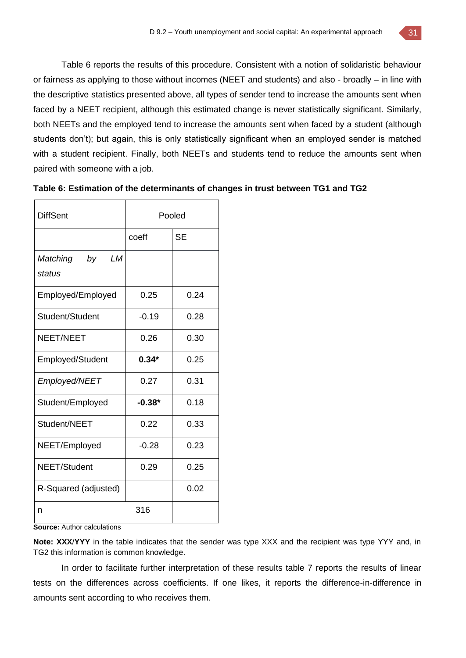Table 6 reports the results of this procedure. Consistent with a notion of solidaristic behaviour or fairness as applying to those without incomes (NEET and students) and also - broadly – in line with the descriptive statistics presented above, all types of sender tend to increase the amounts sent when faced by a NEET recipient, although this estimated change is never statistically significant. Similarly, both NEETs and the employed tend to increase the amounts sent when faced by a student (although students don't); but again, this is only statistically significant when an employed sender is matched with a student recipient. Finally, both NEETs and students tend to reduce the amounts sent when paired with someone with a job.

| <b>DiffSent</b>                | Pooled   |           |
|--------------------------------|----------|-----------|
|                                | coeff    | <b>SE</b> |
| LМ<br>Matching<br>by<br>status |          |           |
| Employed/Employed              | 0.25     | 0.24      |
| Student/Student                | $-0.19$  | 0.28      |
| <b>NEET/NEET</b>               | 0.26     | 0.30      |
| <b>Employed/Student</b>        | $0.34*$  | 0.25      |
| Employed/NEET                  | 0.27     | 0.31      |
| Student/Employed               | $-0.38*$ | 0.18      |
| Student/NEET                   | 0.22     | 0.33      |
| NEET/Employed                  | $-0.28$  | 0.23      |
| NEET/Student                   | 0.29     | 0.25      |
| R-Squared (adjusted)           |          | 0.02      |
| n                              | 316      |           |

**Table 6: Estimation of the determinants of changes in trust between TG1 and TG2**

**Source:** Author calculations

**Note: XXX**/**YYY** in the table indicates that the sender was type XXX and the recipient was type YYY and, in TG2 this information is common knowledge.

In order to facilitate further interpretation of these results table 7 reports the results of linear tests on the differences across coefficients. If one likes, it reports the difference-in-difference in amounts sent according to who receives them.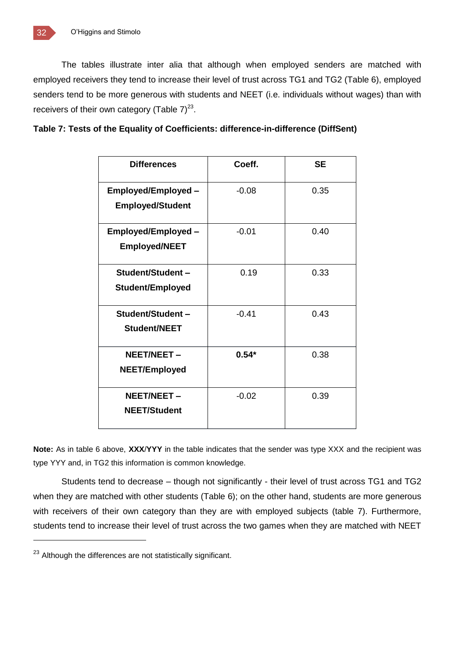The tables illustrate inter alia that although when employed senders are matched with employed receivers they tend to increase their level of trust across TG1 and TG2 (Table 6), employed senders tend to be more generous with students and NEET (i.e. individuals without wages) than with receivers of their own category (Table  $7)^{23}$ .

| Table 7: Tests of the Equality of Coefficients: difference-in-difference (DiffSent) |  |  |
|-------------------------------------------------------------------------------------|--|--|
|                                                                                     |  |  |

| <b>Differences</b>                                    | Coeff.  | <b>SE</b> |
|-------------------------------------------------------|---------|-----------|
| <b>Employed/Employed -</b><br><b>Employed/Student</b> | $-0.08$ | 0.35      |
|                                                       |         |           |
| Employed/Employed -                                   | $-0.01$ | 0.40      |
| <b>Employed/NEET</b>                                  |         |           |
| Student/Student-                                      | 0.19    | 0.33      |
| <b>Student/Employed</b>                               |         |           |
| Student/Student-                                      | $-0.41$ | 0.43      |
| Student/NEET                                          |         |           |
| <b>NEET/NEET -</b>                                    | $0.54*$ | 0.38      |
| <b>NEET/Employed</b>                                  |         |           |
| NEET/NEET -                                           | $-0.02$ | 0.39      |
| <b>NEET/Student</b>                                   |         |           |

**Note:** As in table 6 above, **XXX**/**YYY** in the table indicates that the sender was type XXX and the recipient was type YYY and, in TG2 this information is common knowledge.

Students tend to decrease – though not significantly - their level of trust across TG1 and TG2 when they are matched with other students (Table 6); on the other hand, students are more generous with receivers of their own category than they are with employed subjects (table 7). Furthermore, students tend to increase their level of trust across the two games when they are matched with NEET

<sup>&</sup>lt;sup>23</sup> Although the differences are not statistically significant.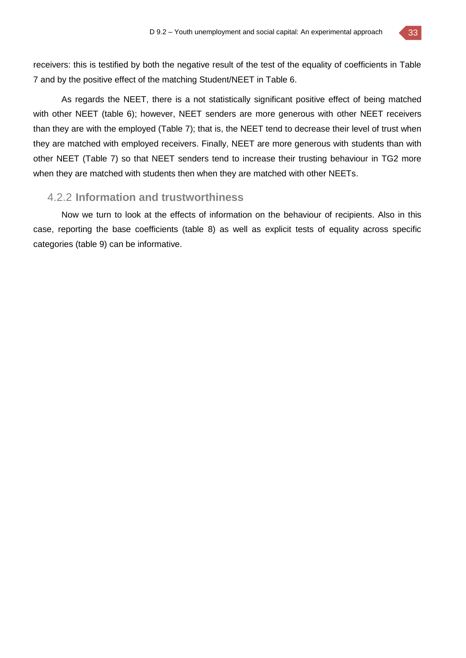receivers: this is testified by both the negative result of the test of the equality of coefficients in Table 7 and by the positive effect of the matching Student/NEET in Table 6.

As regards the NEET, there is a not statistically significant positive effect of being matched with other NEET (table 6); however, NEET senders are more generous with other NEET receivers than they are with the employed (Table 7); that is, the NEET tend to decrease their level of trust when they are matched with employed receivers. Finally, NEET are more generous with students than with other NEET (Table 7) so that NEET senders tend to increase their trusting behaviour in TG2 more when they are matched with students then when they are matched with other NEETs.

#### 4.2.2 **Information and trustworthiness**

Now we turn to look at the effects of information on the behaviour of recipients. Also in this case, reporting the base coefficients (table 8) as well as explicit tests of equality across specific categories (table 9) can be informative.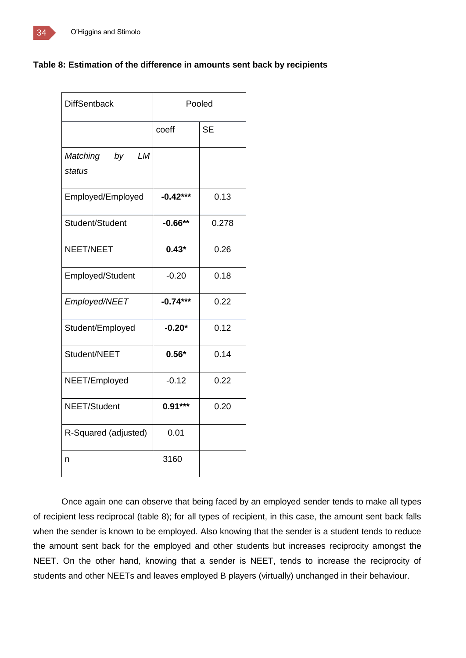#### **Table 8: Estimation of the difference in amounts sent back by recipients**

| <b>DiffSentback</b>                   | Pooled     |           |
|---------------------------------------|------------|-----------|
|                                       | coeff      | <b>SE</b> |
| <b>LM</b><br>Matching<br>by<br>status |            |           |
| Employed/Employed                     | $-0.42***$ | 0.13      |
| Student/Student                       | $-0.66**$  | 0.278     |
| NEET/NEET                             | $0.43*$    | 0.26      |
| Employed/Student                      | $-0.20$    | 0.18      |
| Employed/NEET                         | $-0.74***$ | 0.22      |
| Student/Employed                      | $-0.20*$   | 0.12      |
| Student/NEET                          | $0.56*$    | 0.14      |
| NEET/Employed                         | $-0.12$    | 0.22      |
| NEET/Student                          | $0.91***$  | 0.20      |
| R-Squared (adjusted)                  | 0.01       |           |
| n                                     | 3160       |           |

Once again one can observe that being faced by an employed sender tends to make all types of recipient less reciprocal (table 8); for all types of recipient, in this case, the amount sent back falls when the sender is known to be employed. Also knowing that the sender is a student tends to reduce the amount sent back for the employed and other students but increases reciprocity amongst the NEET. On the other hand, knowing that a sender is NEET, tends to increase the reciprocity of students and other NEETs and leaves employed B players (virtually) unchanged in their behaviour.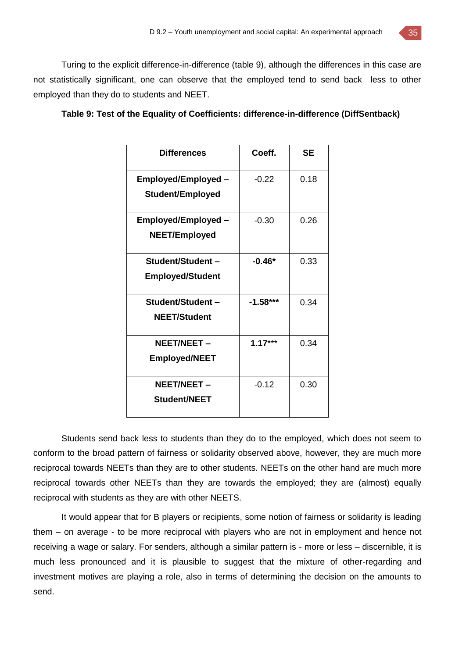Turing to the explicit difference-in-difference (table 9), although the differences in this case are not statistically significant, one can observe that the employed tend to send back less to other employed than they do to students and NEET.

|  |  | Table 9: Test of the Equality of Coefficients: difference-in-difference (DiffSentback) |
|--|--|----------------------------------------------------------------------------------------|
|--|--|----------------------------------------------------------------------------------------|

| <b>Differences</b>         | Coeff.     | SЕ   |
|----------------------------|------------|------|
| Employed/Employed -        | $-0.22$    | 0.18 |
| <b>Student/Employed</b>    |            |      |
| <b>Employed/Employed -</b> | $-0.30$    | 0.26 |
| <b>NEET/Employed</b>       |            |      |
| Student/Student-           | $-0.46*$   | 0.33 |
| <b>Employed/Student</b>    |            |      |
| Student/Student-           | $-1.58***$ | 0.34 |
| <b>NEET/Student</b>        |            |      |
| NEET/NEET-                 | $1.17***$  | 0.34 |
| <b>Employed/NEET</b>       |            |      |
| <b>NEET/NEET -</b>         | $-0.12$    | 0.30 |
| <b>Student/NEET</b>        |            |      |

Students send back less to students than they do to the employed, which does not seem to conform to the broad pattern of fairness or solidarity observed above, however, they are much more reciprocal towards NEETs than they are to other students. NEETs on the other hand are much more reciprocal towards other NEETs than they are towards the employed; they are (almost) equally reciprocal with students as they are with other NEETS.

It would appear that for B players or recipients, some notion of fairness or solidarity is leading them – on average - to be more reciprocal with players who are not in employment and hence not receiving a wage or salary. For senders, although a similar pattern is - more or less – discernible, it is much less pronounced and it is plausible to suggest that the mixture of other-regarding and investment motives are playing a role, also in terms of determining the decision on the amounts to send.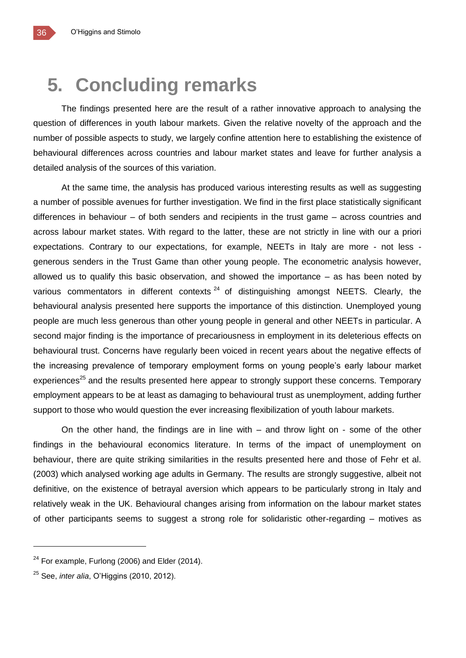## **5. Concluding remarks**

The findings presented here are the result of a rather innovative approach to analysing the question of differences in youth labour markets. Given the relative novelty of the approach and the number of possible aspects to study, we largely confine attention here to establishing the existence of behavioural differences across countries and labour market states and leave for further analysis a detailed analysis of the sources of this variation.

At the same time, the analysis has produced various interesting results as well as suggesting a number of possible avenues for further investigation. We find in the first place statistically significant differences in behaviour – of both senders and recipients in the trust game – across countries and across labour market states. With regard to the latter, these are not strictly in line with our a priori expectations. Contrary to our expectations, for example, NEETs in Italy are more - not less generous senders in the Trust Game than other young people. The econometric analysis however, allowed us to qualify this basic observation, and showed the importance – as has been noted by various commentators in different contexts  $24$  of distinguishing amongst NEETS. Clearly, the behavioural analysis presented here supports the importance of this distinction. Unemployed young people are much less generous than other young people in general and other NEETs in particular. A second major finding is the importance of precariousness in employment in its deleterious effects on behavioural trust. Concerns have regularly been voiced in recent years about the negative effects of the increasing prevalence of temporary employment forms on young people's early labour market experiences<sup>25</sup> and the results presented here appear to strongly support these concerns. Temporary employment appears to be at least as damaging to behavioural trust as unemployment, adding further support to those who would question the ever increasing flexibilization of youth labour markets.

On the other hand, the findings are in line with – and throw light on - some of the other findings in the behavioural economics literature. In terms of the impact of unemployment on behaviour, there are quite striking similarities in the results presented here and those of Fehr et al. (2003) which analysed working age adults in Germany. The results are strongly suggestive, albeit not definitive, on the existence of betrayal aversion which appears to be particularly strong in Italy and relatively weak in the UK. Behavioural changes arising from information on the labour market states of other participants seems to suggest a strong role for solidaristic other-regarding – motives as

 $24$  For example, Furlong (2006) and Elder (2014).

<sup>25</sup> See, *inter alia*, O'Higgins (2010, 2012).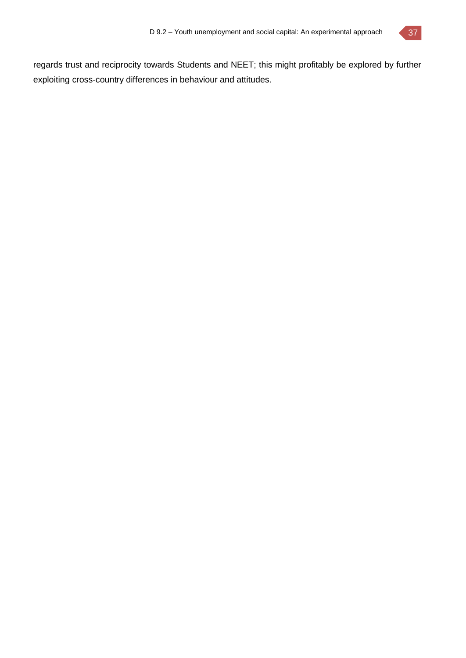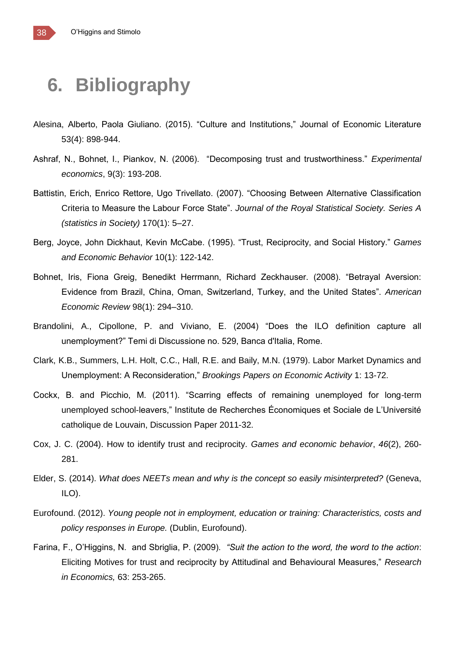## **6. Bibliography**

- Alesina, Alberto, Paola Giuliano. (2015). "Culture and Institutions," Journal of Economic Literature 53(4): 898-944.
- Ashraf, N., Bohnet, I., Piankov, N. (2006). "Decomposing trust and trustworthiness." *Experimental economics*, 9(3): 193-208.
- Battistin, Erich, Enrico Rettore, Ugo Trivellato. (2007). "Choosing Between Alternative Classification Criteria to Measure the Labour Force State". *Journal of the Royal Statistical Society. Series A (statistics in Society)* 170(1): 5–27.
- Berg, Joyce, John Dickhaut, Kevin McCabe. (1995). "Trust, Reciprocity, and Social History." *Games and Economic Behavior* 10(1): 122-142.
- Bohnet, Iris, Fiona Greig, Benedikt Herrmann, Richard Zeckhauser. (2008). "Betrayal Aversion: Evidence from Brazil, China, Oman, Switzerland, Turkey, and the United States". *American Economic Review* 98(1): 294–310.
- Brandolini, A., Cipollone, P. and Viviano, E. (2004) "Does the ILO definition capture all unemployment?" Temi di Discussione no. 529, Banca d'Italia, Rome.
- Clark, K.B., Summers, L.H. Holt, C.C., Hall, R.E. and Baily, M.N. (1979). Labor Market Dynamics and Unemployment: A Reconsideration," *Brookings Papers on Economic Activity* 1: 13-72.
- Cockx, B. and Picchio, M. (2011). "Scarring effects of remaining unemployed for long-term unemployed school-leavers," Institute de Recherches Économiques et Sociale de L'Université catholique de Louvain, Discussion Paper 2011-32.
- Cox, J. C. (2004). How to identify trust and reciprocity. *Games and economic behavior*, *46*(2), 260- 281.
- Elder, S. (2014). *What does NEETs mean and why is the concept so easily misinterpreted?* (Geneva, ILO).
- Eurofound. (2012). *Young people not in employment, education or training: Characteristics, costs and policy responses in Europe.* (Dublin, Eurofound).
- Farina, F., O'Higgins, N. and Sbriglia, P. (2009). *"Suit the action to the word, the word to the action*: Eliciting Motives for trust and reciprocity by Attitudinal and Behavioural Measures," *Research in Economics,* 63: 253-265.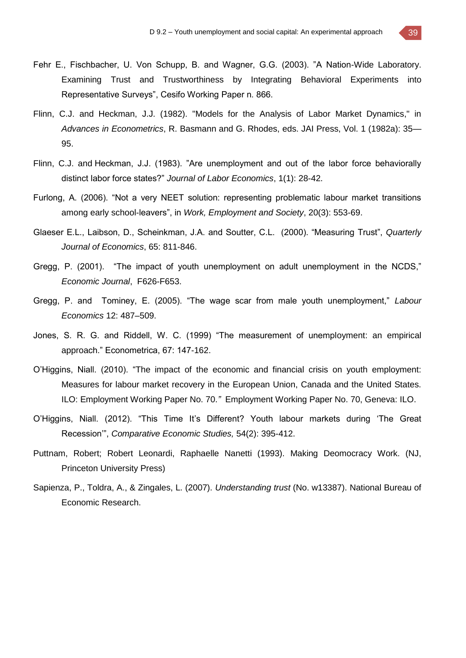- Fehr E., Fischbacher, U. Von Schupp, B. and Wagner, G.G. (2003). "A Nation-Wide Laboratory. Examining Trust and Trustworthiness by Integrating Behavioral Experiments into Representative Surveys", Cesifo Working Paper n. 866.
- Flinn, C.J. and Heckman, J.J. (1982). "Models for the Analysis of Labor Market Dynamics," in *Advances in Econometrics*, R. Basmann and G. Rhodes, eds. JAI Press, Vol. 1 (1982a): 35— 95.
- Flinn, C.J. and Heckman, J.J. (1983). "Are unemployment and out of the labor force behaviorally distinct labor force states?" *Journal of Labor Economics*, 1(1): 28-42.
- Furlong, A. (2006). "Not a very NEET solution: representing problematic labour market transitions among early school-leavers", in *Work, Employment and Society*, 20(3): 553-69.
- Glaeser E.L., Laibson, D., Scheinkman, J.A. and Soutter, C.L. (2000). "Measuring Trust", *Quarterly Journal of Economics*, 65: 811-846.
- Gregg, P. (2001). "The impact of youth unemployment on adult unemployment in the NCDS," *Economic Journal*, F626-F653.
- Gregg, P. and Tominey, E. (2005). "The wage scar from male youth unemployment," *Labour Economics* 12: 487–509.
- Jones, S. R. G. and Riddell, W. C. (1999) "The measurement of unemployment: an empirical approach." Econometrica, 67: 147-162.
- O'Higgins, Niall. (2010). "The impact of the economic and financial crisis on youth employment: Measures for labour market recovery in the European Union, Canada and the United States. ILO: Employment Working Paper No. 70.*"* Employment Working Paper No. 70, Geneva: ILO.
- O'Higgins, Niall. (2012). "This Time It's Different? Youth labour markets during 'The Great Recession'", *Comparative Economic Studies,* 54(2): 395-412.
- Puttnam, Robert; Robert Leonardi, Raphaelle Nanetti (1993). Making Deomocracy Work. (NJ, Princeton University Press)
- Sapienza, P., Toldra, A., & Zingales, L. (2007). *Understanding trust* (No. w13387). National Bureau of Economic Research.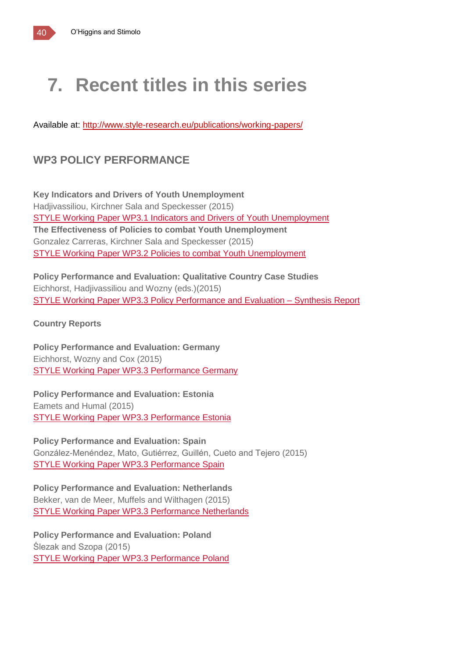# **7. Recent titles in this series**

Available at:<http://www.style-research.eu/publications/working-papers/>

## **WP3 POLICY PERFORMANCE**

**Key Indicators and Drivers of Youth Unemployment** Hadjivassiliou, Kirchner Sala and Speckesser (2015) STYLE Working Paper WP3.1 Indicators and Drivers of Youth [Unemployment](http://www.style-research.eu/wordpress/wp-content/uploads/ftp/STYLE-Working-Paper-WP3_1.pdf) **The Effectiveness of Policies to combat Youth Unemployment** Gonzalez Carreras, Kirchner Sala and Speckesser (2015) STYLE Working Paper WP3.2 Policies to combat Youth [Unemployment](http://www.style-research.eu/wordpress/wp-content/uploads/ftp/D_3_2_The_effectiveness_of_policies_to_combat_youth_unemployment_FINAL.pdf)

**Policy Performance and Evaluation: Qualitative Country Case Studies** Eichhorst, Hadjivassiliou and Wozny (eds.)(2015) STYLE Working Paper WP3.3 Policy [Performance](http://www.style-research.eu/wordpress/wp-content/uploads/2015/03/D_3_3_Policy_Performance_and_Evaluation_Synthesis_of_Country_Reports.pdf) and Evaluation – Synthesis Report

**Country Reports**

**Policy Performance and Evaluation: Germany** Eichhorst, Wozny and Cox (2015) STYLE Working Paper WP3.3 [Performance](http://www.style-research.eu/wordpress/wp-content/uploads/2015/03/STYLE-Working-Paper-WP3.3-Performance-Germany.pdf) Germany

**Policy Performance and Evaluation: Estonia** Eamets and Humal (2015) STYLE Working Paper WP3.3 [Performance](http://www.style-research.eu/wordpress/wp-content/uploads/2015/03/STYLE-Working-Paper-WP3.3-Performance-Estonia.pdf) Estonia

**Policy Performance and Evaluation: Spain** González-Menéndez, Mato, Gutiérrez, Guillén, Cueto and Tejero (2015) STYLE Working Paper WP3.3 [Performance](http://www.style-research.eu/wordpress/wp-content/uploads/2015/03/STYLE-Working-Paper-WP3.3-Performance-Spain.pdf) Spain

**Policy Performance and Evaluation: Netherlands** Bekker, van de Meer, Muffels and Wilthagen (2015) STYLE Working Paper WP3.3 [Performance](http://www.style-research.eu/wordpress/wp-content/uploads/ftp/STYLE-Working-Paper-WP3.3-Performance-Netherlands.pdf) Netherlands

**Policy Performance and Evaluation: Poland** Ślezak and Szopa (2015) STYLE Working Paper WP3.3 [Performance](http://www.style-research.eu/wordpress/wp-content/uploads/ftp/STYLE-Working-Paper-WP3.3-Performance-Poland.pdf) Poland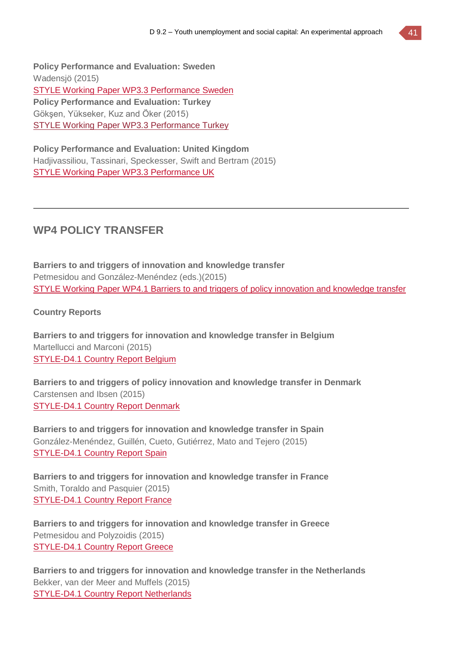**Policy Performance and Evaluation: Sweden** Wadensjö (2015) STYLE Working Paper WP3.3 [Performance](http://www.style-research.eu/wordpress/wp-content/uploads/2015/03/STYLE-Working-Paper-WP3.3-Performance-Sweden.pdf) Sweden **Policy Performance and Evaluation: Turkey** Gökşen, Yükseker, Kuz and Öker (2015) STYLE Working Paper WP3.3 [Performance](http://www.style-research.eu/wordpress/wp-content/uploads/ftp/STYLE-Working-Paper-WP3.3-Performance-Turkey-.pdf) Turkey

**Policy Performance and Evaluation: United Kingdom** Hadjivassiliou, Tassinari, Speckesser, Swift and Bertram (2015) STYLE Working Paper WP3.3 [Performance](http://www.style-research.eu/wordpress/wp-content/uploads/2015/03/STYLE-Working-Paper-WP3.3-Performance-UK.pdf) UK

### **WP4 POLICY TRANSFER**

**Barriers to and triggers of innovation and knowledge transfer** Petmesidou and González-Menéndez (eds.)(2015) STYLE Working Paper WP4.1 Barriers to and triggers of policy innovation and [knowledge](http://www.style-research.eu/wordpress/wp-content/uploads/2015/03/D_4_1_Barrier_to_and_triggers_of_policy_innovation_and_knowledge_transfer.pdf) transfer

#### **Country Reports**

**Barriers to and triggers for innovation and knowledge transfer in Belgium** Martellucci and Marconi (2015) [STYLE-D4.1](http://www.style-research.eu/wordpress/wp-content/uploads/2015/03/STYLE-D4.1-Country-Report-Belgium.pdf) Country Report Belgium

**Barriers to and triggers of policy innovation and knowledge transfer in Denmark** Carstensen and Ibsen (2015) [STYLE-D4.1](http://www.style-research.eu/wordpress/wp-content/uploads/2015/03/STYLE-Working-Paper-WP4.1-Denmark.pdf) Country Report Denmark

**Barriers to and triggers for innovation and knowledge transfer in Spain** González-Menéndez, Guillén, Cueto, Gutiérrez, Mato and Tejero (2015) [STYLE-D4.1](http://www.style-research.eu/wordpress/wp-content/uploads/2015/03/STYLE-D4.1-Country-Report-Spain.pdf) Country Report Spain

**Barriers to and triggers for innovation and knowledge transfer in France** Smith, Toraldo and Pasquier (2015) [STYLE-D4.1](http://www.style-research.eu/wordpress/wp-content/uploads/ftp/STYLE-D4.1-Country-Report-France.pdf) Country Report France

**Barriers to and triggers for innovation and knowledge transfer in Greece** Petmesidou and Polyzoidis (2015) [STYLE-D4.1](http://www.style-research.eu/wordpress/wp-content/uploads/2015/03/STYLE-D4.1-Country-Report-Greece.pdf) Country Report Greece

**Barriers to and triggers for innovation and knowledge transfer in the Netherlands** Bekker, van der Meer and Muffels (2015) [STYLE-D4.1](http://www.style-research.eu/wordpress/wp-content/uploads/2015/03/STYLE-D4.1-Country-Report-Netherlands.pdf) Country Report Netherlands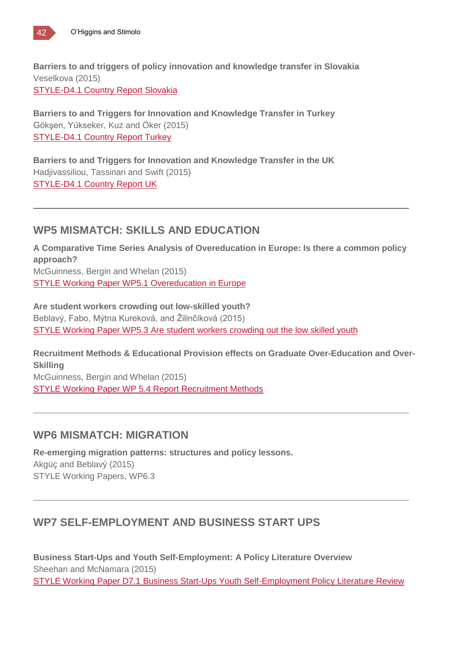**Barriers to and triggers of policy innovation and knowledge transfer in Slovakia** Veselkova (2015) [STYLE-D4.1](http://www.style-research.eu/wordpress/wp-content/uploads/2015/03/STYLE-D4.1-Country-Report-Slovakia.pdf) Country Report Slovakia

**Barriers to and Triggers for Innovation and Knowledge Transfer in Turkey** Gökşen, Yükseker, Kuz and Öker (2015) [STYLE-D4.1](http://www.style-research.eu/wordpress/wp-content/uploads/2015/03/STYLE-D4.1-Country-Report-Turkey.pdf) Country Report Turkey

**Barriers to and Triggers for Innovation and Knowledge Transfer in the UK** Hadjivassiliou, Tassinari and Swift (2015) [STYLE-D4.1](http://www.style-research.eu/wordpress/wp-content/uploads/2015/03/STYLE-D4.1-Country-Report-UK.pdf) Country Report UK

## **WP5 MISMATCH: SKILLS AND EDUCATION**

**A Comparative Time Series Analysis of Overeducation in Europe: Is there a common policy approach?** McGuinness, Bergin and Whelan (2015) STYLE Working Paper WP5.1 [Overeducation](http://www.style-research.eu/wordpress/wp-content/uploads/ftp/STYLE-Working-Paper-WP5_1.pdf) in Europe

**Are student workers crowding out low-skilled youth?** Beblavý, Fabo, Mýtna Kureková, and Žilinčíková (2015) STYLE Working Paper WP5.3 Are student workers [crowding](http://www.style-research.eu/wordpress/wp-content/uploads/ftp/D_5_3_Are_student_workers_crowding_out_the_low_skilled_youth_FINAL.pdf) out the low skilled youth

**Recruitment Methods & Educational Provision effects on Graduate Over-Education and Over-Skilling**

McGuinness, Bergin and Whelan (2015) STYLE Working Paper WP 5.4 Report [Recruitment](http://www.style-research.eu/wordpress/wp-content/uploads/ftp/D_5_4_Report_Recruitment_Methods_FINAL.pdf) Methods

## **WP6 MISMATCH: MIGRATION**

**Re-emerging migration patterns: structures and policy lessons.** Akgüç and Beblavý (2015) STYLE Working Papers, WP6.3

## **WP7 SELF-EMPLOYMENT AND BUSINESS START UPS**

**Business Start-Ups and Youth Self-Employment: A Policy Literature Overview** Sheehan and McNamara (2015) STYLE Working Paper D7.1 Business Start-Ups Youth [Self-Employment](http://www.style-research.eu/wordpress/wp-content/uploads/ftp/D_7_1_Business_Start-Ups_Youth_Self-Employment_Policy_Literature-Review_FINAL.pdf) Policy Literature Review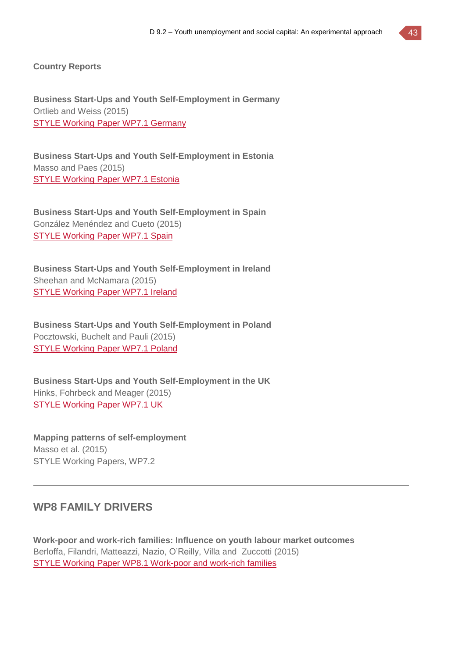**Country Reports**

**Business Start-Ups and Youth Self-Employment in Germany** Ortlieb and Weiss (2015) STYLE Working Paper WP7.1 [Germany](http://www.style-research.eu/wordpress/wp-content/uploads/2015/03/STYLE-Working-Paper-WP7.1-Germany-.pdf)

**Business Start-Ups and Youth Self-Employment in Estonia** Masso and Paes (2015) STYLE [Working](http://www.style-research.eu/wordpress/wp-content/uploads/2015/03/STYLE-Working-Paper-WP7.1-Estonia-.pdf) Paper WP7.1 Estonia

**Business Start-Ups and Youth Self-Employment in Spain** González Menéndez and Cueto (2015) STYLE [Working](http://www.style-research.eu/wordpress/wp-content/uploads/2015/03/STYLE-Working-Paper-WP7.1-Spain.pdf) Paper WP7.1 Spain

**Business Start-Ups and Youth Self-Employment in Ireland** Sheehan and McNamara (2015) STYLE [Working](http://www.style-research.eu/wordpress/wp-content/uploads/2015/03/STYLE-Working-Paper-WP7.1-Ireland.docx) Paper WP7.1 Ireland

**Business Start-Ups and Youth Self-Employment in Poland** Pocztowski, Buchelt and Pauli (2015) STYLE [Working](http://www.style-research.eu/wordpress/wp-content/uploads/2015/03/STYLE-Working-Paper-WP7.1-Poland-.pdf) Paper WP7.1 Poland

**Business Start-Ups and Youth Self-Employment in the UK** Hinks, Fohrbeck and Meager (2015) STYLE [Working](http://www.style-research.eu/wordpress/wp-content/uploads/2015/03/STYLE-Working-Paper-WP7.1-UK.pdf) Paper WP7.1 UK

**Mapping patterns of self-employment** Masso et al. (2015) STYLE Working Papers, WP7.2

### **WP8 FAMILY DRIVERS**

**Work-poor and work-rich families: Influence on youth labour market outcomes** Berloffa, Filandri, Matteazzi, Nazio, O'Reilly, Villa and Zuccotti (2015) STYLE Working Paper WP8.1 [Work-poor](http://www.style-research.eu/wordpress/wp-content/uploads/ftp/STYLE-Working-Paper-WP8_1.pdf) and work-rich families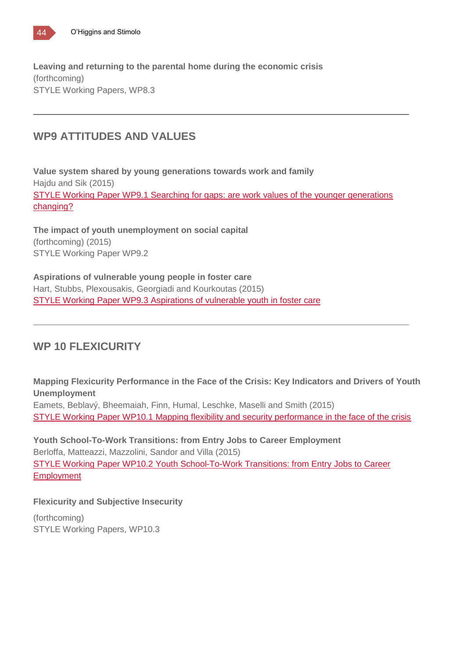

**Leaving and returning to the parental home during the economic crisis** (forthcoming) STYLE Working Papers, WP8.3

## **WP9 ATTITUDES AND VALUES**

**Value system shared by young generations towards work and family** Hajdu and Sik (2015) STYLE Working Paper WP9.1 Searching for gaps: are work values of the younger [generations](http://www.style-research.eu/wordpress/wp-content/uploads/ftp/D_9_1_Value_system_shared_by_young_generations_towards_work_and_family.pdf) [changing?](http://www.style-research.eu/wordpress/wp-content/uploads/ftp/D_9_1_Value_system_shared_by_young_generations_towards_work_and_family.pdf)

**The impact of youth unemployment on social capital** (forthcoming) (2015) STYLE Working Paper WP9.2

**Aspirations of vulnerable young people in foster care** Hart, Stubbs, Plexousakis, Georgiadi and Kourkoutas (2015) STYLE Working Paper WP9.3 [Aspirations](http://www.style-research.eu/wordpress/wp-content/uploads/2015/11/D_9_3_Aspirations_of_vulnerable_youth_in_foster_care_FINAL.pdf) of vulnerable youth in foster care

## **WP 10 FLEXICURITY**

**Mapping Flexicurity Performance in the Face of the Crisis: Key Indicators and Drivers of Youth Unemployment** Eamets, Beblavý, Bheemaiah, Finn, Humal, Leschke, Maselli and Smith (2015)

STYLE Working Paper WP10.1 Mapping flexibility and security [performance](http://www.style-research.eu/wordpress/wp-content/uploads/2015/11/D_10_1_Mapping_flexibility_and_security_performance_in_the_face_of_the_crisis_FINAL.pdf) in the face of the crisis

**Youth School-To-Work Transitions: from Entry Jobs to Career Employment** Berloffa, Matteazzi, Mazzolini, Sandor and Villa (2015) STYLE Working Paper WP10.2 Youth [School-To-Work](http://www.style-research.eu/wordpress/wp-content/uploads/ftp/D_10_2_Report_From_Entry_Jobs_to_Career_Employment.pdf) Transitions: from Entry Jobs to Career **[Employment](http://www.style-research.eu/wordpress/wp-content/uploads/ftp/D_10_2_Report_From_Entry_Jobs_to_Career_Employment.pdf)** 

#### **Flexicurity and Subjective Insecurity**

(forthcoming) STYLE Working Papers, WP10.3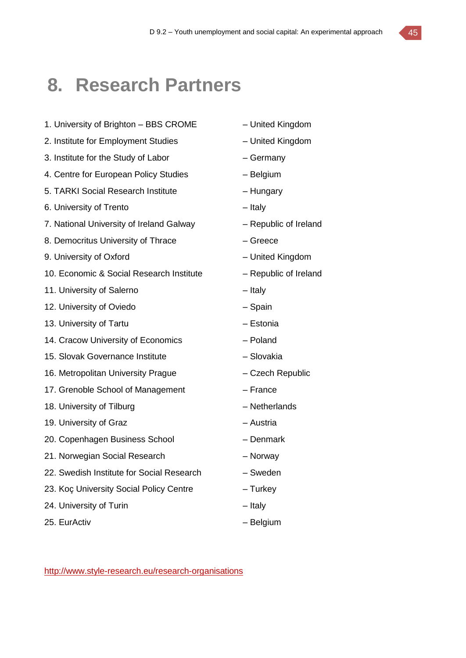## **8. Research Partners**

- 1. University of Brighton BBS CROME United Kingdom
- 2. Institute for Employment Studies United Kingdom
- 3. Institute for the Study of Labor Germany
- 4. Centre for European Policy Studies Belgium
- 5. TARKI Social Research Institute Hungary
- 6. University of Trento Italy
- 7. National University of Ireland Galway Republic of Ireland
- 8. Democritus University of Thrace Figure Greece
- 9. University of Oxford United Kingdom
- 10. Economic & Social Research Institute Republic of Ireland
- 11. University of Salerno **Fig. 2018** Italy
- 12. University of Oviedo Spain
- 13. University of Tartu **Facture 13. University of Tartu Facture 13. In the Latin America**  $-$  Estonia
- 14. Cracow University of Economics Poland
- 15. Slovak Governance Institute Slovakia
- 16. Metropolitan University Prague Czech Republic
- 17. Grenoble School of Management France
- 18. University of Tilburg and American control of Tilburg and American American American American American Control of Netherlands
- 19. University of Graz **Face Contract Contract Contract Austria** Austria
- 20. Copenhagen Business School Denmark
- 21. Norwegian Social Research Norway
- 22. Swedish Institute for Social Research Sweden
- 23. Koç University Social Policy Centre Turkey
- 24. University of Turin The University of Turin Italy
- 25. EurActiv Channel Holland, and Holland Belgium
- 
- 
- 
- 
- 
- 
- 
- 
- 
- 
- 
- 
- 
- 
- 
- 
- 
- 
- 
- 
- 
- 
- 
- 
- 

<http://www.style-research.eu/research-organisations>